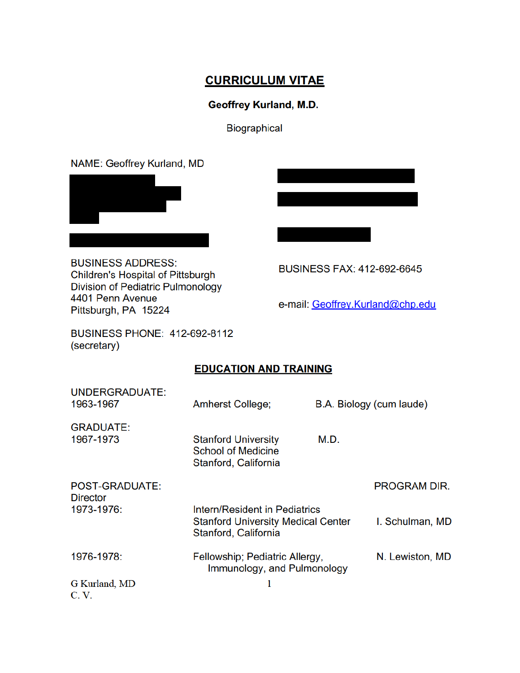# **CURRICULUM VITAE**

# **Geoffrey Kurland, M.D.**

Biographical

NAME: Geoffrey Kurland, MD



**BUSINESS ADDRESS:** Children's Hospital of Pittsburgh Division of Pediatric Pulmonology 4401 Penn Avenue Pittsburgh, PA 15224

**BUSINESS FAX: 412-692-6645** 

e-mail: Geoffrey.Kurland@chp.edu

**BUSINESS PHONE: 412-692-8112** (secretary)

# **EDUCATION AND TRAINING**

| UNDERGRADUATE:<br>1963-1967       | <b>Amherst College;</b>                                                                                   |      | B.A. Biology (cum laude) |
|-----------------------------------|-----------------------------------------------------------------------------------------------------------|------|--------------------------|
| <b>GRADUATE:</b><br>1967-1973     | <b>Stanford University</b><br><b>School of Medicine</b><br>Stanford, California                           | M.D. |                          |
| POST-GRADUATE:<br><b>Director</b> |                                                                                                           |      | PROGRAM DIR.             |
| 1973-1976:                        | <b>Intern/Resident in Pediatrics</b><br><b>Stanford University Medical Center</b><br>Stanford, California |      | I. Schulman, MD          |
| 1976-1978:                        | Fellowship; Pediatric Allergy,<br>Immunology, and Pulmonology                                             |      | N. Lewiston, MD          |
| G Kurland, MD<br>C.V.             |                                                                                                           |      |                          |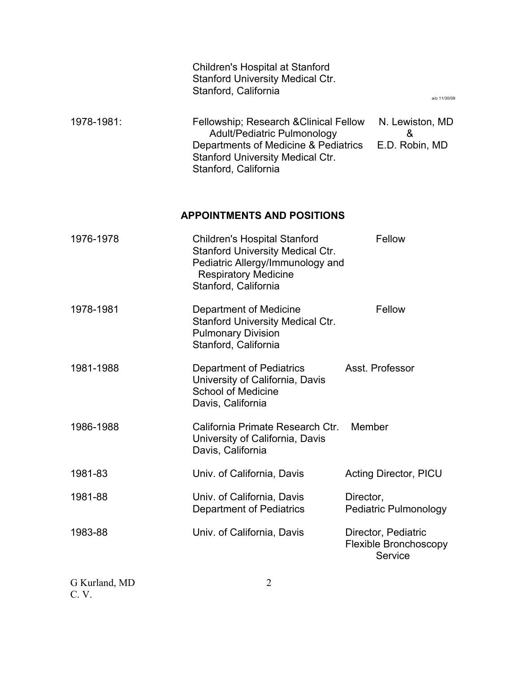|            | <b>Children's Hospital at Stanford</b><br><b>Stanford University Medical Ctr.</b><br>Stanford, California                                                                               |                     | a/o 11/30/09                            |
|------------|-----------------------------------------------------------------------------------------------------------------------------------------------------------------------------------------|---------------------|-----------------------------------------|
| 1978-1981: | Fellowship; Research & Clinical Fellow<br><b>Adult/Pediatric Pulmonology</b><br>Departments of Medicine & Pediatrics<br><b>Stanford University Medical Ctr.</b><br>Stanford, California |                     | N. Lewiston, MD<br>&<br>E.D. Robin, MD  |
|            | <b>APPOINTMENTS AND POSITIONS</b>                                                                                                                                                       |                     |                                         |
| 1976-1978  | <b>Children's Hospital Stanford</b><br><b>Stanford University Medical Ctr.</b><br>Pediatric Allergy/Immunology and<br><b>Respiratory Medicine</b><br>Stanford, California               |                     | Fellow                                  |
| 1978-1981  | Department of Medicine<br><b>Stanford University Medical Ctr.</b><br><b>Pulmonary Division</b><br>Stanford, California                                                                  |                     | Fellow                                  |
| 1981-1988  | Department of Pediatrics<br>University of California, Davis<br><b>School of Medicine</b><br>Davis, California                                                                           | Asst. Professor     |                                         |
| 1986-1988  | California Primate Research Ctr.<br>University of California, Davis<br>Davis, California                                                                                                | Member              |                                         |
| 1981-83    | Univ. of California, Davis                                                                                                                                                              |                     | Acting Director, PICU                   |
| 1981-88    | Univ. of California, Davis<br><b>Department of Pediatrics</b>                                                                                                                           | Director,           | <b>Pediatric Pulmonology</b>            |
| 1983-88    | Univ. of California, Davis                                                                                                                                                              | Director, Pediatric | <b>Flexible Bronchoscopy</b><br>Service |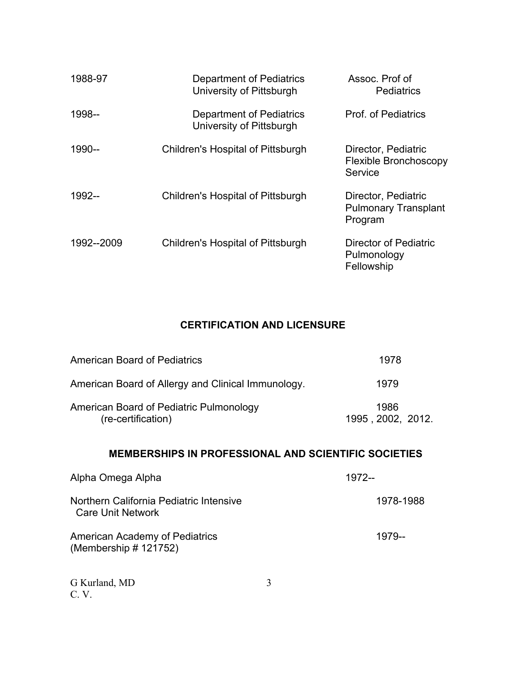| 1988-97    | Department of Pediatrics<br>University of Pittsburgh | Assoc. Prof of<br><b>Pediatrics</b>                           |
|------------|------------------------------------------------------|---------------------------------------------------------------|
| 1998--     | Department of Pediatrics<br>University of Pittsburgh | <b>Prof. of Pediatrics</b>                                    |
| 1990--     | Children's Hospital of Pittsburgh                    | Director, Pediatric<br>Flexible Bronchoscopy<br>Service       |
| 1992--     | Children's Hospital of Pittsburgh                    | Director, Pediatric<br><b>Pulmonary Transplant</b><br>Program |
| 1992--2009 | Children's Hospital of Pittsburgh                    | Director of Pediatric<br>Pulmonology<br>Fellowship            |

# **CERTIFICATION AND LICENSURE**

| <b>American Board of Pediatrics</b>                           | 1978                      |
|---------------------------------------------------------------|---------------------------|
| American Board of Allergy and Clinical Immunology.            | 1979                      |
| American Board of Pediatric Pulmonology<br>(re-certification) | 1986<br>1995, 2002, 2012. |

# **MEMBERSHIPS IN PROFESSIONAL AND SCIENTIFIC SOCIETIES**

| Alpha Omega Alpha                                                   | 1972--    |
|---------------------------------------------------------------------|-----------|
| Northern California Pediatric Intensive<br><b>Care Unit Network</b> | 1978-1988 |
| American Academy of Pediatrics<br>(Membership # 121752)             | 1979--    |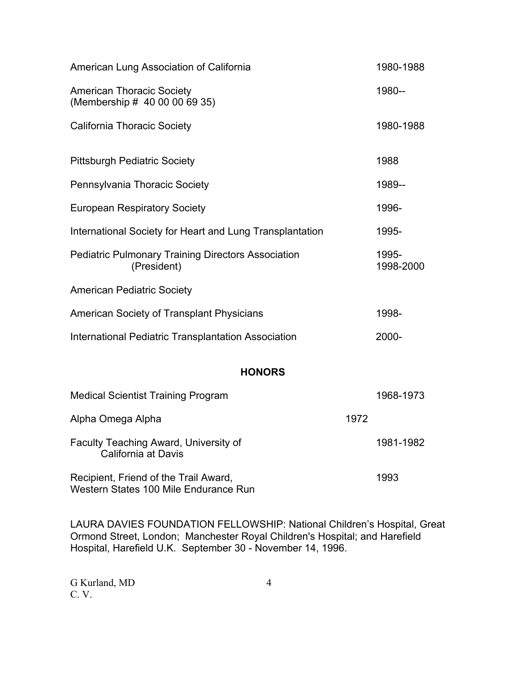| American Lung Association of California                                  |       | 1980-1988          |
|--------------------------------------------------------------------------|-------|--------------------|
| <b>American Thoracic Society</b><br>(Membership # 40 00 00 69 35)        |       | 1980--             |
| <b>California Thoracic Society</b>                                       |       | 1980-1988          |
| <b>Pittsburgh Pediatric Society</b>                                      |       | 1988               |
| Pennsylvania Thoracic Society                                            |       | 1989--             |
| <b>European Respiratory Society</b>                                      |       | 1996-              |
| International Society for Heart and Lung Transplantation                 |       | 1995-              |
| <b>Pediatric Pulmonary Training Directors Association</b><br>(President) |       | 1995-<br>1998-2000 |
| <b>American Pediatric Society</b>                                        |       |                    |
| American Society of Transplant Physicians                                |       | 1998-              |
| International Pediatric Transplantation Association                      | 2000- |                    |
| <b>HONORS</b>                                                            |       |                    |
| <b>Medical Scientist Training Program</b>                                |       | 1968-1973          |
| Alpha Omega Alpha                                                        | 1972  |                    |
| Faculty Teaching Award, University of<br>California at Davis             |       | 1981-1982          |
| Recipient, Friend of the Trail Award,                                    |       | 1993               |

LAURA DAVIES FOUNDATION FELLOWSHIP: National Children's Hospital, Great Ormond Street, London; Manchester Royal Children's Hospital; and Harefield Hospital, Harefield U.K. September 30 - November 14, 1996.

Western States 100 Mile Endurance Run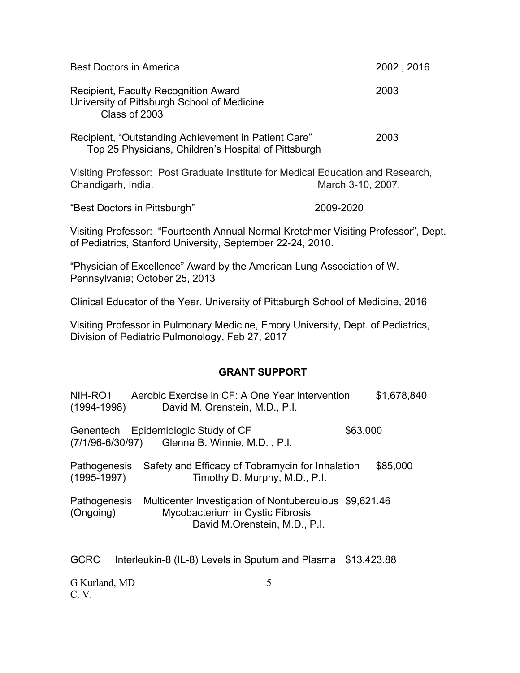| <b>Best Doctors in America</b>                                                                                                                   | 2002, 2016 |  |
|--------------------------------------------------------------------------------------------------------------------------------------------------|------------|--|
| Recipient, Faculty Recognition Award<br>University of Pittsburgh School of Medicine<br>Class of 2003                                             | 2003       |  |
| Recipient, "Outstanding Achievement in Patient Care"<br>Top 25 Physicians, Children's Hospital of Pittsburgh                                     | 2003       |  |
| Visiting Professor: Post Graduate Institute for Medical Education and Research,<br>Chandigarh, India.<br>March 3-10, 2007.                       |            |  |
| "Best Doctors in Pittsburgh"                                                                                                                     | 2009-2020  |  |
| Visiting Professor: "Fourteenth Annual Normal Kretchmer Visiting Professor", Dept.<br>of Pediatrics, Stanford University, September 22-24, 2010. |            |  |
| "Physician of Excellence" Award by the American Lung Association of W.<br>Pennsylvania; October 25, 2013                                         |            |  |

Clinical Educator of the Year, University of Pittsburgh School of Medicine, 2016

Visiting Professor in Pulmonary Medicine, Emory University, Dept. of Pediatrics, Division of Pediatric Pulmonology, Feb 27, 2017

#### **GRANT SUPPORT**

| NIH-RO1<br>$(1994 - 1998)$             | Aerobic Exercise in CF: A One Year Intervention<br>David M. Orenstein, M.D., P.I.                                           | \$1,678,840 |
|----------------------------------------|-----------------------------------------------------------------------------------------------------------------------------|-------------|
|                                        | Genentech Epidemiologic Study of CF<br>(7/1/96-6/30/97) Glenna B. Winnie, M.D., P.I.                                        | \$63,000    |
| <b>Pathogenesis</b><br>$(1995 - 1997)$ | Safety and Efficacy of Tobramycin for Inhalation<br>Timothy D. Murphy, M.D., P.I.                                           | \$85,000    |
| Pathogenesis<br>(Ongoing)              | Multicenter Investigation of Nontuberculous \$9,621.46<br>Mycobacterium in Cystic Fibrosis<br>David M.Orenstein, M.D., P.I. |             |
| <b>GCRC</b>                            | Interleukin-8 (IL-8) Levels in Sputum and Plasma                                                                            | \$13,423.88 |
| G Kurland, MD                          | 5                                                                                                                           |             |

C. V.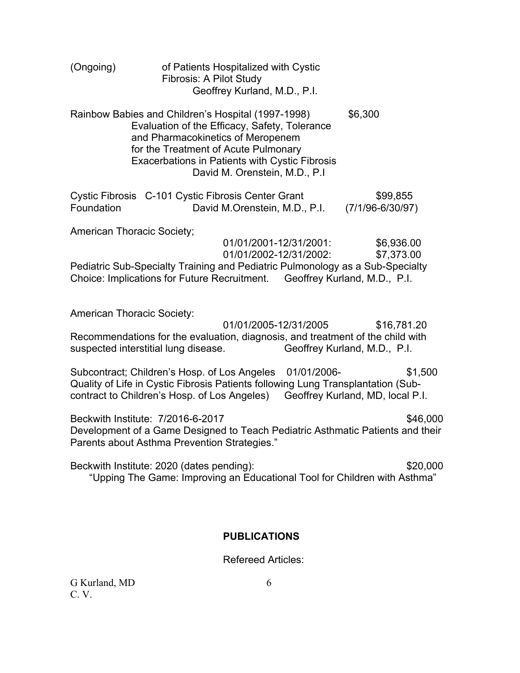| (Ongoing)                         | of Patients Hospitalized with Cystic<br><b>Fibrosis: A Pilot Study</b><br>Geoffrey Kurland, M.D., P.I.                                                                                                                                                                     |                                             |
|-----------------------------------|----------------------------------------------------------------------------------------------------------------------------------------------------------------------------------------------------------------------------------------------------------------------------|---------------------------------------------|
|                                   | Rainbow Babies and Children's Hospital (1997-1998)<br>Evaluation of the Efficacy, Safety, Tolerance<br>and Pharmacokinetics of Meropenem<br>for the Treatment of Acute Pulmonary<br><b>Exacerbations in Patients with Cystic Fibrosis</b><br>David M. Orenstein, M.D., P.I | \$6,300                                     |
| Foundation                        | Cystic Fibrosis C-101 Cystic Fibrosis Center Grant<br>David M.Orenstein, M.D., P.I.                                                                                                                                                                                        | \$99,855<br>$(7/1/96 - 6/30/97)$            |
| <b>American Thoracic Society;</b> | 01/01/2001-12/31/2001:<br>01/01/2002-12/31/2002:<br>Pediatric Sub-Specialty Training and Pediatric Pulmonology as a Sub-Specialty<br>Choice: Implications for Future Recruitment. Geoffrey Kurland, M.D., P.I.                                                             | \$6,936.00<br>\$7,373.00                    |
| <b>American Thoracic Society:</b> | 01/01/2005-12/31/2005<br>Recommendations for the evaluation, diagnosis, and treatment of the child with<br>suspected interstitial lung disease.                                                                                                                            | \$16,781.20<br>Geoffrey Kurland, M.D., P.I. |
|                                   | Subcontract; Children's Hosp. of Los Angeles<br>01/01/2006-<br>Quality of Life in Cystic Fibrosis Patients following Lung Transplantation (Sub-<br>contract to Children's Hosp. of Los Angeles)                                                                            | \$1,500<br>Geoffrey Kurland, MD, local P.I. |
|                                   | Beckwith Institute: 7/2016-6-2017<br>Development of a Game Designed to Teach Pediatric Asthmatic Patients and their<br>Parents about Asthma Prevention Strategies."                                                                                                        | \$46,000                                    |
|                                   | Beckwith Institute: 2020 (dates pending):<br>"Upping The Game: Improving an Educational Tool for Children with Asthma"                                                                                                                                                     | \$20,000                                    |
|                                   | <b>PUBLICATIONS</b>                                                                                                                                                                                                                                                        |                                             |

Refereed Articles: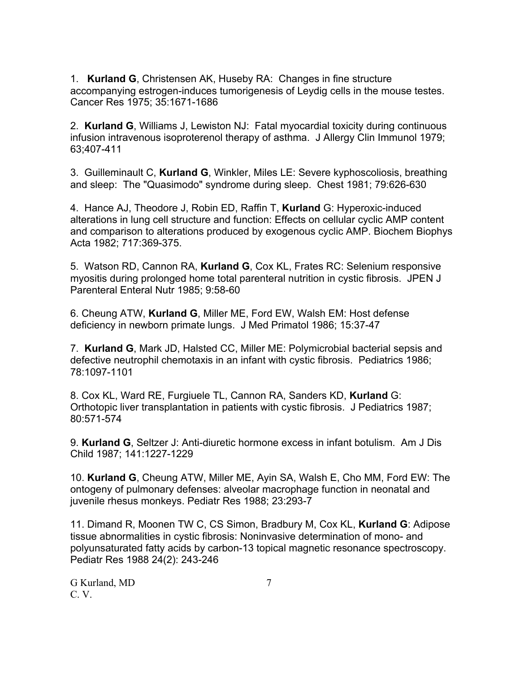1. **Kurland G**, Christensen AK, Huseby RA: Changes in fine structure accompanying estrogen-induces tumorigenesis of Leydig cells in the mouse testes. Cancer Res 1975; 35:1671-1686

2. **Kurland G**, Williams J, Lewiston NJ: Fatal myocardial toxicity during continuous infusion intravenous isoproterenol therapy of asthma. J Allergy Clin Immunol 1979; 63;407-411

3. Guilleminault C, **Kurland G**, Winkler, Miles LE: Severe kyphoscoliosis, breathing and sleep: The "Quasimodo" syndrome during sleep. Chest 1981; 79:626-630

4. Hance AJ, Theodore J, Robin ED, Raffin T, **Kurland** G: Hyperoxic-induced alterations in lung cell structure and function: Effects on cellular cyclic AMP content and comparison to alterations produced by exogenous cyclic AMP. Biochem Biophys Acta 1982; 717:369-375.

5. Watson RD, Cannon RA, **Kurland G**, Cox KL, Frates RC: Selenium responsive myositis during prolonged home total parenteral nutrition in cystic fibrosis. JPEN J Parenteral Enteral Nutr 1985; 9:58-60

6. Cheung ATW, **Kurland G**, Miller ME, Ford EW, Walsh EM: Host defense deficiency in newborn primate lungs. J Med Primatol 1986; 15:37-47

7. **Kurland G**, Mark JD, Halsted CC, Miller ME: Polymicrobial bacterial sepsis and defective neutrophil chemotaxis in an infant with cystic fibrosis. Pediatrics 1986; 78:1097-1101

8. Cox KL, Ward RE, Furgiuele TL, Cannon RA, Sanders KD, **Kurland** G: Orthotopic liver transplantation in patients with cystic fibrosis. J Pediatrics 1987; 80:571-574

9. **Kurland G**, Seltzer J: Anti-diuretic hormone excess in infant botulism. Am J Dis Child 1987; 141:1227-1229

10. **Kurland G**, Cheung ATW, Miller ME, Ayin SA, Walsh E, Cho MM, Ford EW: The ontogeny of pulmonary defenses: alveolar macrophage function in neonatal and juvenile rhesus monkeys. Pediatr Res 1988; 23:293-7

11. Dimand R, Moonen TW C, CS Simon, Bradbury M, Cox KL, **Kurland G**: Adipose tissue abnormalities in cystic fibrosis: Noninvasive determination of mono- and polyunsaturated fatty acids by carbon-13 topical magnetic resonance spectroscopy. Pediatr Res 1988 24(2): 243-246

G Kurland, MD 7 C. V.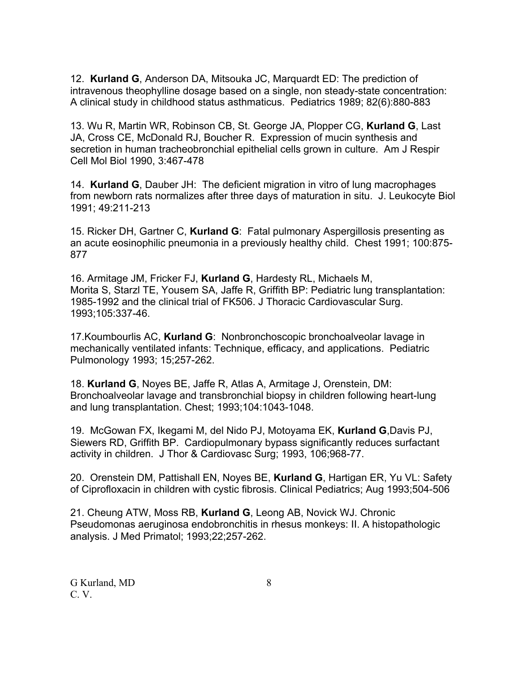12. **Kurland G**, Anderson DA, Mitsouka JC, Marquardt ED: The prediction of intravenous theophylline dosage based on a single, non steady-state concentration: A clinical study in childhood status asthmaticus. Pediatrics 1989; 82(6):880-883

13. Wu R, Martin WR, Robinson CB, St. George JA, Plopper CG, **Kurland G**, Last JA, Cross CE, McDonald RJ, Boucher R. Expression of mucin synthesis and secretion in human tracheobronchial epithelial cells grown in culture. Am J Respir Cell Mol Biol 1990, 3:467-478

14. **Kurland G**, Dauber JH: The deficient migration in vitro of lung macrophages from newborn rats normalizes after three days of maturation in situ. J. Leukocyte Biol 1991; 49:211-213

15. Ricker DH, Gartner C, **Kurland G**: Fatal pulmonary Aspergillosis presenting as an acute eosinophilic pneumonia in a previously healthy child. Chest 1991; 100:875- 877

16. Armitage JM, Fricker FJ, **Kurland G**, Hardesty RL, Michaels M, Morita S, Starzl TE, Yousem SA, Jaffe R, Griffith BP: Pediatric lung transplantation: 1985-1992 and the clinical trial of FK506. J Thoracic Cardiovascular Surg. 1993;105:337-46.

17.Koumbourlis AC, **Kurland G**: Nonbronchoscopic bronchoalveolar lavage in mechanically ventilated infants: Technique, efficacy, and applications. Pediatric Pulmonology 1993; 15;257-262.

18. **Kurland G**, Noyes BE, Jaffe R, Atlas A, Armitage J, Orenstein, DM: Bronchoalveolar lavage and transbronchial biopsy in children following heart-lung and lung transplantation. Chest; 1993;104:1043-1048.

19. McGowan FX, Ikegami M, del Nido PJ, Motoyama EK, **Kurland G**,Davis PJ, Siewers RD, Griffith BP. Cardiopulmonary bypass significantly reduces surfactant activity in children. J Thor & Cardiovasc Surg; 1993, 106;968-77.

20. Orenstein DM, Pattishall EN, Noyes BE, **Kurland G**, Hartigan ER, Yu VL: Safety of Ciprofloxacin in children with cystic fibrosis. Clinical Pediatrics; Aug 1993;504-506

21. Cheung ATW, Moss RB, **Kurland G**, Leong AB, Novick WJ. Chronic Pseudomonas aeruginosa endobronchitis in rhesus monkeys: II. A histopathologic analysis. J Med Primatol; 1993;22;257-262.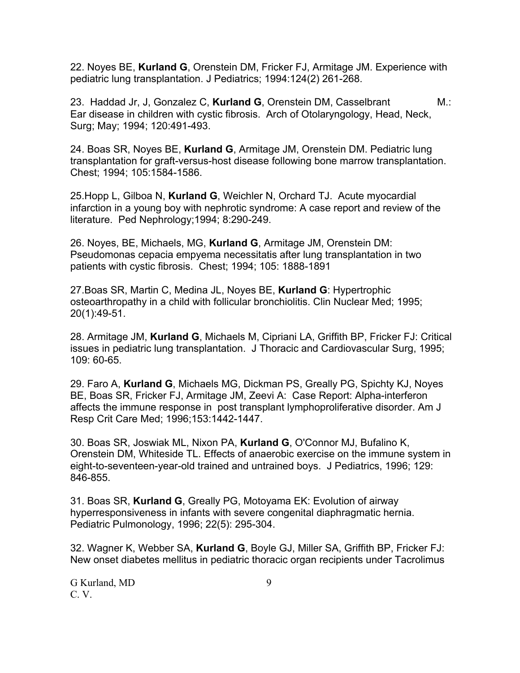22. Noyes BE, **Kurland G**, Orenstein DM, Fricker FJ, Armitage JM. Experience with pediatric lung transplantation. J Pediatrics; 1994:124(2) 261-268.

23. Haddad Jr, J, Gonzalez C, **Kurland G**, Orenstein DM, Casselbrant M.: Ear disease in children with cystic fibrosis. Arch of Otolaryngology, Head, Neck, Surg; May; 1994; 120:491-493.

24. Boas SR, Noyes BE, **Kurland G**, Armitage JM, Orenstein DM. Pediatric lung transplantation for graft-versus-host disease following bone marrow transplantation. Chest; 1994; 105:1584-1586.

25.Hopp L, Gilboa N, **Kurland G**, Weichler N, Orchard TJ. Acute myocardial infarction in a young boy with nephrotic syndrome: A case report and review of the literature. Ped Nephrology;1994; 8:290-249.

26. Noyes, BE, Michaels, MG, **Kurland G**, Armitage JM, Orenstein DM: Pseudomonas cepacia empyema necessitatis after lung transplantation in two patients with cystic fibrosis. Chest; 1994; 105: 1888-1891

27.Boas SR, Martin C, Medina JL, Noyes BE, **Kurland G**: Hypertrophic osteoarthropathy in a child with follicular bronchiolitis. Clin Nuclear Med; 1995; 20(1):49-51.

28. Armitage JM, **Kurland G**, Michaels M, Cipriani LA, Griffith BP, Fricker FJ: Critical issues in pediatric lung transplantation. J Thoracic and Cardiovascular Surg, 1995; 109: 60-65.

29. Faro A, **Kurland G**, Michaels MG, Dickman PS, Greally PG, Spichty KJ, Noyes BE, Boas SR, Fricker FJ, Armitage JM, Zeevi A: Case Report: Alpha-interferon affects the immune response in post transplant lymphoproliferative disorder. Am J Resp Crit Care Med; 1996;153:1442-1447.

30. Boas SR, Joswiak ML, Nixon PA, **Kurland G**, O'Connor MJ, Bufalino K, Orenstein DM, Whiteside TL. Effects of anaerobic exercise on the immune system in eight-to-seventeen-year-old trained and untrained boys. J Pediatrics, 1996; 129: 846-855.

31. Boas SR, **Kurland G**, Greally PG, Motoyama EK: Evolution of airway hyperresponsiveness in infants with severe congenital diaphragmatic hernia. Pediatric Pulmonology, 1996; 22(5): 295-304.

32. Wagner K, Webber SA, **Kurland G**, Boyle GJ, Miller SA, Griffith BP, Fricker FJ: New onset diabetes mellitus in pediatric thoracic organ recipients under Tacrolimus

G Kurland, MD 9 C. V.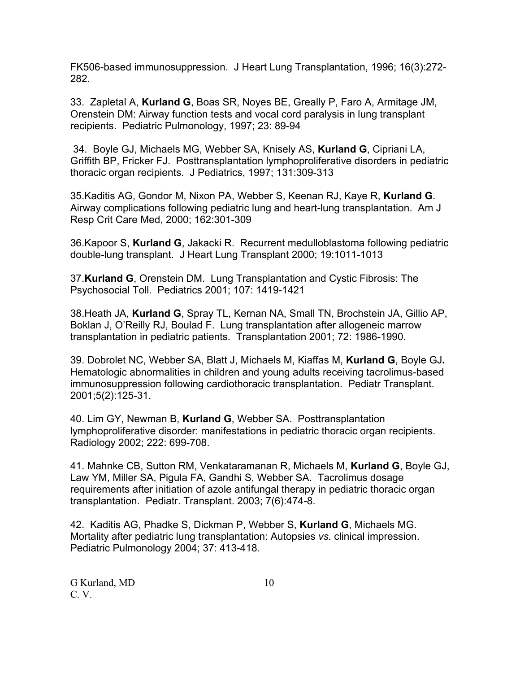FK506-based immunosuppression. J Heart Lung Transplantation, 1996; 16(3):272- 282.

33. Zapletal A, **Kurland G**, Boas SR, Noyes BE, Greally P, Faro A, Armitage JM, Orenstein DM: Airway function tests and vocal cord paralysis in lung transplant recipients. Pediatric Pulmonology, 1997; 23: 89-94

 34. Boyle GJ, Michaels MG, Webber SA, Knisely AS, **Kurland G**, Cipriani LA, Griffith BP, Fricker FJ. Posttransplantation lymphoproliferative disorders in pediatric thoracic organ recipients. J Pediatrics, 1997; 131:309-313

35.Kaditis AG, Gondor M, Nixon PA, Webber S, Keenan RJ, Kaye R, **Kurland G**. Airway complications following pediatric lung and heart-lung transplantation. Am J Resp Crit Care Med, 2000; 162:301-309

36.Kapoor S, **Kurland G**, Jakacki R. Recurrent medulloblastoma following pediatric double-lung transplant. J Heart Lung Transplant 2000; 19:1011-1013

37.**Kurland G**, Orenstein DM. Lung Transplantation and Cystic Fibrosis: The Psychosocial Toll. Pediatrics 2001; 107: 1419-1421

38.Heath JA, **Kurland G**, Spray TL, Kernan NA, Small TN, Brochstein JA, Gillio AP, Boklan J, O'Reilly RJ, Boulad F. Lung transplantation after allogeneic marrow transplantation in pediatric patients. Transplantation 2001; 72: 1986-1990.

39. Dobrolet NC, Webber SA, Blatt J, Michaels M, Kiaffas M, **Kurland G**, Boyle GJ**.**  Hematologic abnormalities in children and young adults receiving tacrolimus-based immunosuppression following cardiothoracic transplantation. Pediatr Transplant. 2001;5(2):125-31.

40. Lim GY, Newman B, **Kurland G**, Webber SA. Posttransplantation lymphoproliferative disorder: manifestations in pediatric thoracic organ recipients. Radiology 2002; 222: 699-708.

41. Mahnke CB, Sutton RM, Venkataramanan R, Michaels M, **Kurland G**, Boyle GJ, Law YM, Miller SA, Pigula FA, Gandhi S, Webber SA. Tacrolimus dosage requirements after initiation of azole antifungal therapy in pediatric thoracic organ transplantation. Pediatr. Transplant. 2003; 7(6):474-8.

42. Kaditis AG, Phadke S, Dickman P, Webber S, **Kurland G**, Michaels MG. Mortality after pediatric lung transplantation: Autopsies *vs.* clinical impression. Pediatric Pulmonology 2004; 37: 413-418.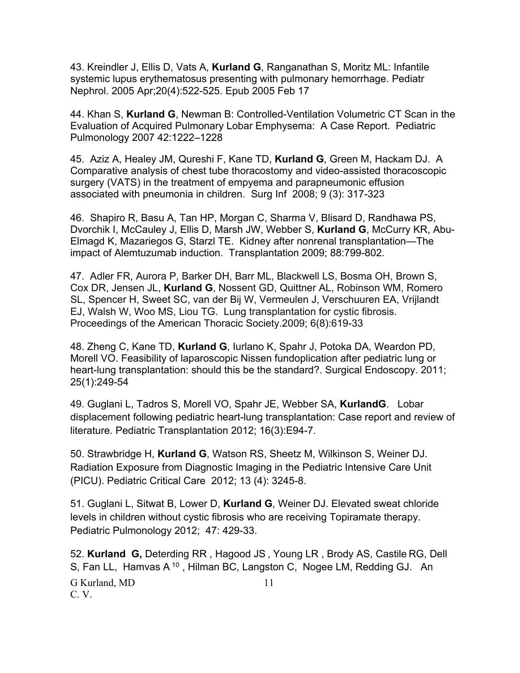43. Kreindler J, Ellis D, Vats A, **Kurland G**, Ranganathan S, Moritz ML: Infantile systemic lupus erythematosus presenting with pulmonary hemorrhage. Pediatr Nephrol. 2005 Apr;20(4):522-525. Epub 2005 Feb 17

44. Khan S, **Kurland G**, Newman B: Controlled-Ventilation Volumetric CT Scan in the Evaluation of Acquired Pulmonary Lobar Emphysema: A Case Report. Pediatric Pulmonology 2007 42:1222–1228

45. Aziz A, Healey JM, Qureshi F, Kane TD, **Kurland G**, Green M, Hackam DJ. A Comparative analysis of chest tube thoracostomy and video-assisted thoracoscopic surgery (VATS) in the treatment of empyema and parapneumonic effusion associated with pneumonia in children. Surg Inf 2008; 9 (3): 317-323

46. Shapiro R, Basu A, Tan HP, Morgan C, Sharma V, Blisard D, Randhawa PS, Dvorchik I, McCauley J, Ellis D, Marsh JW, Webber S, **Kurland G**, McCurry KR, Abu-Elmagd K, Mazariegos G, Starzl TE. Kidney after nonrenal transplantation—The impact of Alemtuzumab induction. Transplantation 2009; 88:799-802.

47. Adler FR, Aurora P, Barker DH, Barr ML, Blackwell LS, Bosma OH, Brown S, Cox DR, Jensen JL, **Kurland G**, Nossent GD, Quittner AL, Robinson WM, Romero SL, Spencer H, Sweet SC, van der Bij W, Vermeulen J, Verschuuren EA, Vrijlandt EJ, Walsh W, Woo MS, Liou TG. Lung transplantation for cystic fibrosis. Proceedings of the American Thoracic Society.2009; 6(8):619-33

48. Zheng C, Kane TD, **Kurland G**, Iurlano K, Spahr J, Potoka DA, Weardon PD, Morell VO. Feasibility of laparoscopic Nissen fundoplication after pediatric lung or heart-lung transplantation: should this be the standard?. Surgical Endoscopy. 2011; 25(1):249-54

49. Guglani L, Tadros S, Morell VO, Spahr JE, Webber SA, **KurlandG**. Lobar displacement following pediatric heart-lung transplantation: Case report and review of literature. Pediatric Transplantation 2012; 16(3):E94-7.

50. Strawbridge H, **Kurland G**, Watson RS, Sheetz M, Wilkinson S, Weiner DJ. Radiation Exposure from Diagnostic Imaging in the Pediatric Intensive Care Unit (PICU). Pediatric Critical Care 2012; 13 (4): 3245-8.

51. Guglani L, Sitwat B, Lower D, **Kurland G**, Weiner DJ. Elevated sweat chloride levels in children without cystic fibrosis who are receiving Topiramate therapy. Pediatric Pulmonology 2012; 47: 429-33.

G Kurland, MD 11 C. V. 52. **Kurland G,** Deterding RR , Hagood JS , Young LR , Brody AS, Castile RG, Dell S, Fan LL, Hamvas A<sup>10</sup>, Hilman BC, Langston C, Nogee LM, Redding GJ. An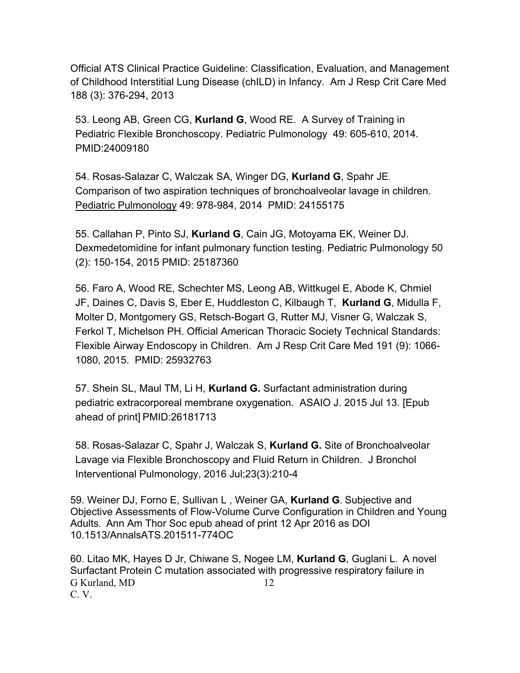Official ATS Clinical Practice Guideline: Classification, Evaluation, and Management of Childhood Interstitial Lung Disease (chILD) in Infancy. Am J Resp Crit Care Med 188 (3): 376-294, 2013

53. Leong AB, Green CG, **Kurland G**, Wood RE. A Survey of Training in Pediatric Flexible Bronchoscopy. Pediatric Pulmonology 49: 605-610, 2014. PMID:24009180

54. Rosas-Salazar C, Walczak SA, Winger DG, **Kurland G**, Spahr JE. Comparison of two aspiration techniques of bronchoalveolar lavage in children. Pediatric Pulmonology 49: 978-984, 2014 PMID: 24155175

55. Callahan P, Pinto SJ, **Kurland G**, Cain JG, Motoyama EK, Weiner DJ. Dexmedetomidine for infant pulmonary function testing. Pediatric Pulmonology 50 (2): 150-154, 2015 PMID: 25187360

56. Faro A, Wood RE, Schechter MS, Leong AB, Wittkugel E, Abode K, Chmiel JF, Daines C, Davis S, Eber E, Huddleston C, Kilbaugh T, **Kurland G**, Midulla F, Molter D, Montgomery GS, Retsch-Bogart G, Rutter MJ, Visner G, Walczak S, Ferkol T, Michelson PH. Official American Thoracic Society Technical Standards: Flexible Airway Endoscopy in Children. Am J Resp Crit Care Med 191 (9): 1066- 1080, 2015. PMID: 25932763

57. Shein SL, Maul TM, Li H, **Kurland G.** Surfactant administration during pediatric extracorporeal membrane oxygenation. ASAIO J. 2015 Jul 13. [Epub ahead of print] PMID:26181713

58. Rosas-Salazar C, Spahr J, Walczak S, **Kurland G.** Site of Bronchoalveolar Lavage via Flexible Bronchoscopy and Fluid Return in Children. J Bronchol Interventional Pulmonology, 2016 Jul;23(3):210-4

59. Weiner DJ, Forno E, Sullivan L , Weiner GA, **Kurland G**. Subjective and Objective Assessments of Flow-Volume Curve Configuration in Children and Young Adults. Ann Am Thor Soc epub ahead of print 12 Apr 2016 as DOI 10.1513/AnnalsATS.201511-774OC

G Kurland, MD 12 C. V. 60. Litao MK, Hayes D Jr, Chiwane S, Nogee LM, **Kurland G**, Guglani L. A novel Surfactant Protein C mutation associated with progressive respiratory failure in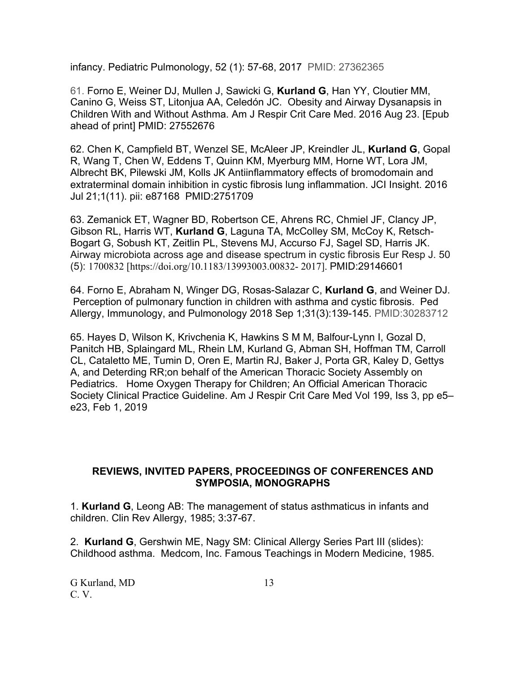infancy. Pediatric Pulmonology, 52 (1): 57-68, 2017 PMID: 27362365

61. Forno E, Weiner DJ, Mullen J, Sawicki G, **Kurland G**, Han YY, Cloutier MM, Canino G, Weiss ST, Litonjua AA, Celedón JC. Obesity and Airway Dysanapsis in Children With and Without Asthma. Am J Respir Crit Care Med. 2016 Aug 23. [Epub ahead of print] PMID: 27552676

62. Chen K, Campfield BT, Wenzel SE, McAleer JP, Kreindler JL, **Kurland G**, Gopal R, Wang T, Chen W, Eddens T, Quinn KM, Myerburg MM, Horne WT, Lora JM, Albrecht BK, Pilewski JM, Kolls JK Antiinflammatory effects of bromodomain and extraterminal domain inhibition in cystic fibrosis lung inflammation. JCI Insight. 2016 Jul 21;1(11). pii: e87168 PMID:2751709

63. Zemanick ET, Wagner BD, Robertson CE, Ahrens RC, Chmiel JF, Clancy JP, Gibson RL, Harris WT, **Kurland G**, Laguna TA, McColley SM, McCoy K, Retsch-Bogart G, Sobush KT, Zeitlin PL, Stevens MJ, Accurso FJ, Sagel SD, Harris JK. Airway microbiota across age and disease spectrum in cystic fibrosis Eur Resp J. 50 (5): 1700832 [https://doi.org/10.1183/13993003.00832- 2017]. PMID:29146601

64. Forno E, Abraham N, Winger DG, Rosas-Salazar C, **Kurland G**, and Weiner DJ. Perception of pulmonary function in children with asthma and cystic fibrosis. Ped Allergy, Immunology, and Pulmonology 2018 Sep 1;31(3):139-145. PMID:30283712

65. Hayes D, Wilson K, Krivchenia K, Hawkins S M M, Balfour-Lynn I, Gozal D, Panitch HB, Splaingard ML, Rhein LM, Kurland G, Abman SH, Hoffman TM, Carroll CL, Cataletto ME, Tumin D, Oren E, Martin RJ, Baker J, Porta GR, Kaley D, Gettys A, and Deterding RR;on behalf of the American Thoracic Society Assembly on Pediatrics. Home Oxygen Therapy for Children; An Official American Thoracic Society Clinical Practice Guideline. Am J Respir Crit Care Med Vol 199, Iss 3, pp e5– e23, Feb 1, 2019

### **REVIEWS, INVITED PAPERS, PROCEEDINGS OF CONFERENCES AND SYMPOSIA, MONOGRAPHS**

1. **Kurland G**, Leong AB: The management of status asthmaticus in infants and children. Clin Rev Allergy, 1985; 3:37-67.

2. **Kurland G**, Gershwin ME, Nagy SM: Clinical Allergy Series Part III (slides): Childhood asthma. Medcom, Inc. Famous Teachings in Modern Medicine, 1985.

G Kurland, MD 13 C. V.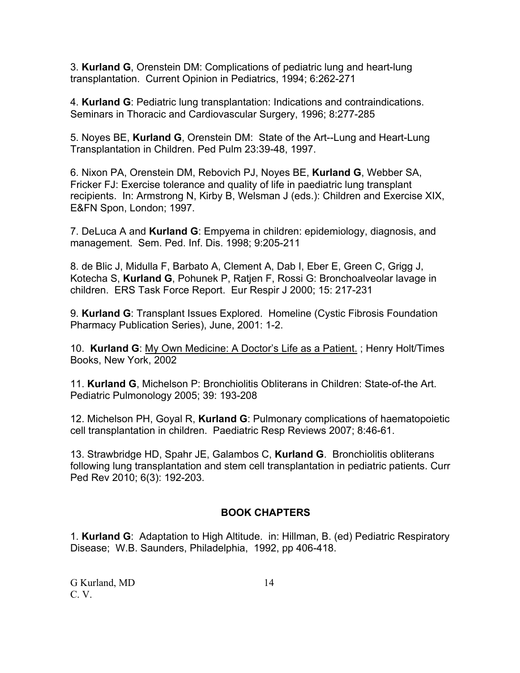3. **Kurland G**, Orenstein DM: Complications of pediatric lung and heart-lung transplantation. Current Opinion in Pediatrics, 1994; 6:262-271

4. **Kurland G**: Pediatric lung transplantation: Indications and contraindications. Seminars in Thoracic and Cardiovascular Surgery, 1996; 8:277-285

5. Noyes BE, **Kurland G**, Orenstein DM: State of the Art--Lung and Heart-Lung Transplantation in Children. Ped Pulm 23:39-48, 1997.

6. Nixon PA, Orenstein DM, Rebovich PJ, Noyes BE, **Kurland G**, Webber SA, Fricker FJ: Exercise tolerance and quality of life in paediatric lung transplant recipients. In: Armstrong N, Kirby B, Welsman J (eds.): Children and Exercise XIX, E&FN Spon, London; 1997.

7. DeLuca A and **Kurland G**: Empyema in children: epidemiology, diagnosis, and management. Sem. Ped. Inf. Dis. 1998; 9:205-211

8. de Blic J, Midulla F, Barbato A, Clement A, Dab I, Eber E, Green C, Grigg J, Kotecha S, **Kurland G**, Pohunek P, Ratjen F, Rossi G: Bronchoalveolar lavage in children. ERS Task Force Report. Eur Respir J 2000; 15: 217-231

9. **Kurland G**: Transplant Issues Explored. Homeline (Cystic Fibrosis Foundation Pharmacy Publication Series), June, 2001: 1-2.

10. **Kurland G**: My Own Medicine: A Doctor's Life as a Patient. ; Henry Holt/Times Books, New York, 2002

11. **Kurland G**, Michelson P: Bronchiolitis Obliterans in Children: State-of-the Art. Pediatric Pulmonology 2005; 39: 193-208

12. Michelson PH, Goyal R, **Kurland G**: Pulmonary complications of haematopoietic cell transplantation in children. Paediatric Resp Reviews 2007; 8:46-61.

13. Strawbridge HD, Spahr JE, Galambos C, **Kurland G**. Bronchiolitis obliterans following lung transplantation and stem cell transplantation in pediatric patients. Curr Ped Rev 2010; 6(3): 192-203.

## **BOOK CHAPTERS**

1. **Kurland G**: Adaptation to High Altitude. in: Hillman, B. (ed) Pediatric Respiratory Disease; W.B. Saunders, Philadelphia, 1992, pp 406-418.

G Kurland, MD 14 C. V.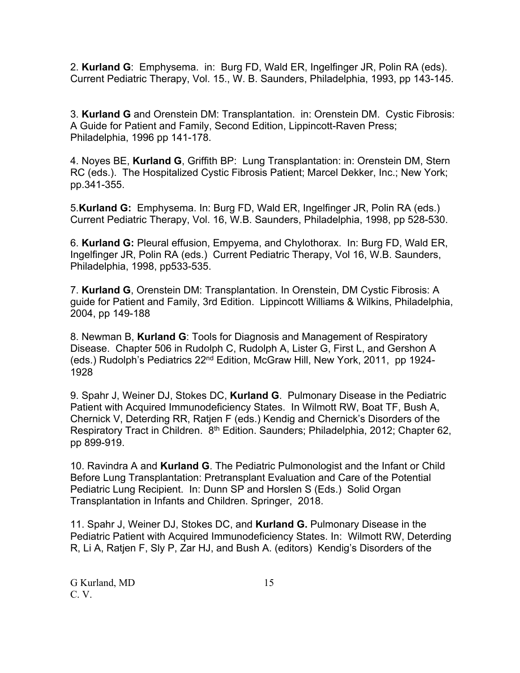2. **Kurland G**: Emphysema. in: Burg FD, Wald ER, Ingelfinger JR, Polin RA (eds). Current Pediatric Therapy, Vol. 15., W. B. Saunders, Philadelphia, 1993, pp 143-145.

3. **Kurland G** and Orenstein DM: Transplantation. in: Orenstein DM. Cystic Fibrosis: A Guide for Patient and Family, Second Edition, Lippincott-Raven Press; Philadelphia, 1996 pp 141-178.

4. Noyes BE, **Kurland G**, Griffith BP: Lung Transplantation: in: Orenstein DM, Stern RC (eds.). The Hospitalized Cystic Fibrosis Patient; Marcel Dekker, Inc.; New York; pp.341-355.

5.**Kurland G:** Emphysema. In: Burg FD, Wald ER, Ingelfinger JR, Polin RA (eds.) Current Pediatric Therapy, Vol. 16, W.B. Saunders, Philadelphia, 1998, pp 528-530.

6. **Kurland G:** Pleural effusion, Empyema, and Chylothorax. In: Burg FD, Wald ER, Ingelfinger JR, Polin RA (eds.) Current Pediatric Therapy, Vol 16, W.B. Saunders, Philadelphia, 1998, pp533-535.

7. **Kurland G**, Orenstein DM: Transplantation. In Orenstein, DM Cystic Fibrosis: A guide for Patient and Family, 3rd Edition. Lippincott Williams & Wilkins, Philadelphia, 2004, pp 149-188

8. Newman B, **Kurland G**: Tools for Diagnosis and Management of Respiratory Disease. Chapter 506 in Rudolph C, Rudolph A, Lister G, First L, and Gershon A (eds.) Rudolph's Pediatrics 22nd Edition, McGraw Hill, New York, 2011, pp 1924- 1928

9. Spahr J, Weiner DJ, Stokes DC, **Kurland G**. Pulmonary Disease in the Pediatric Patient with Acquired Immunodeficiency States. In Wilmott RW, Boat TF, Bush A, Chernick V, Deterding RR, Ratjen F (eds.) Kendig and Chernick's Disorders of the Respiratory Tract in Children. 8<sup>th</sup> Edition. Saunders; Philadelphia, 2012; Chapter 62, pp 899-919.

10. Ravindra A and **Kurland G**. The Pediatric Pulmonologist and the Infant or Child Before Lung Transplantation: Pretransplant Evaluation and Care of the Potential Pediatric Lung Recipient. In: Dunn SP and Horslen S (Eds.) Solid Organ Transplantation in Infants and Children. Springer, 2018.

11. Spahr J, Weiner DJ, Stokes DC, and **Kurland G.** Pulmonary Disease in the Pediatric Patient with Acquired Immunodeficiency States. In: Wilmott RW, Deterding R, Li A, Ratjen F, Sly P, Zar HJ, and Bush A. (editors) Kendig's Disorders of the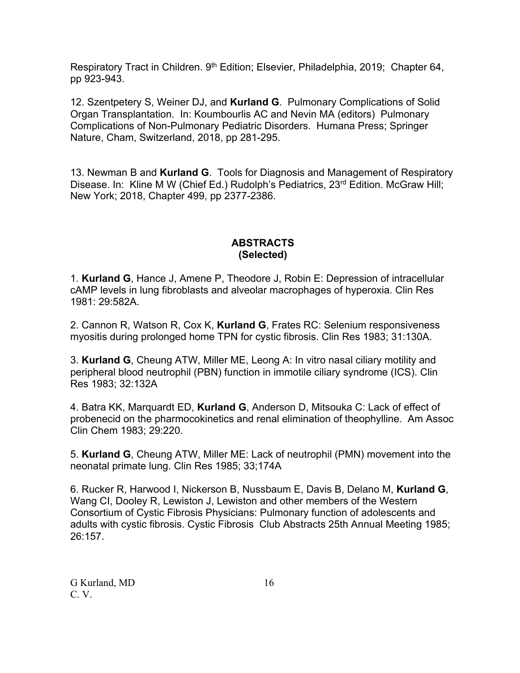Respiratory Tract in Children. 9<sup>th</sup> Edition; Elsevier, Philadelphia, 2019; Chapter 64, pp 923-943.

12. Szentpetery S, Weiner DJ, and **Kurland G**. Pulmonary Complications of Solid Organ Transplantation. In: Koumbourlis AC and Nevin MA (editors) Pulmonary Complications of Non-Pulmonary Pediatric Disorders. Humana Press; Springer Nature, Cham, Switzerland, 2018, pp 281-295.

13. Newman B and **Kurland G**. Tools for Diagnosis and Management of Respiratory Disease. In: Kline M W (Chief Ed.) Rudolph's Pediatrics, 23<sup>rd</sup> Edition, McGraw Hill; New York; 2018, Chapter 499, pp 2377-2386.

### **ABSTRACTS (Selected)**

1. **Kurland G**, Hance J, Amene P, Theodore J, Robin E: Depression of intracellular cAMP levels in lung fibroblasts and alveolar macrophages of hyperoxia. Clin Res 1981: 29:582A.

2. Cannon R, Watson R, Cox K, **Kurland G**, Frates RC: Selenium responsiveness myositis during prolonged home TPN for cystic fibrosis. Clin Res 1983; 31:130A.

3. **Kurland G**, Cheung ATW, Miller ME, Leong A: In vitro nasal ciliary motility and peripheral blood neutrophil (PBN) function in immotile ciliary syndrome (ICS). Clin Res 1983; 32:132A

4. Batra KK, Marquardt ED, **Kurland G**, Anderson D, Mitsouka C: Lack of effect of probenecid on the pharmocokinetics and renal elimination of theophylline. Am Assoc Clin Chem 1983; 29:220.

5. **Kurland G**, Cheung ATW, Miller ME: Lack of neutrophil (PMN) movement into the neonatal primate lung. Clin Res 1985; 33;174A

6. Rucker R, Harwood I, Nickerson B, Nussbaum E, Davis B, Delano M, **Kurland G**, Wang CI, Dooley R, Lewiston J, Lewiston and other members of the Western Consortium of Cystic Fibrosis Physicians: Pulmonary function of adolescents and adults with cystic fibrosis. Cystic Fibrosis Club Abstracts 25th Annual Meeting 1985; 26:157.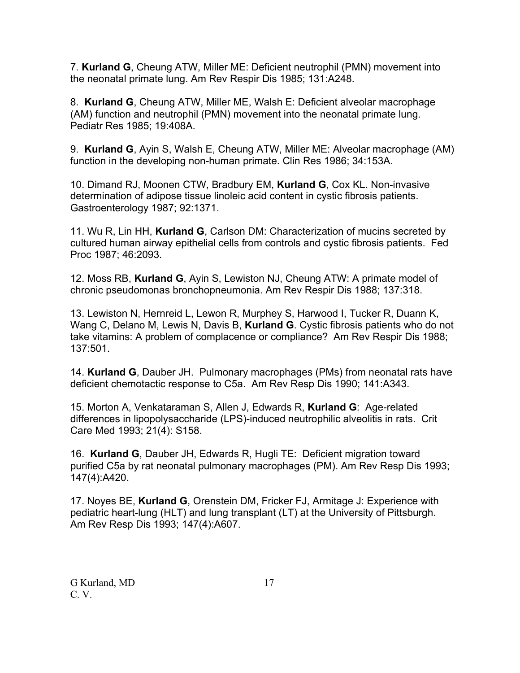7. **Kurland G**, Cheung ATW, Miller ME: Deficient neutrophil (PMN) movement into the neonatal primate lung. Am Rev Respir Dis 1985; 131:A248.

8. **Kurland G**, Cheung ATW, Miller ME, Walsh E: Deficient alveolar macrophage (AM) function and neutrophil (PMN) movement into the neonatal primate lung. Pediatr Res 1985; 19:408A.

9. **Kurland G**, Ayin S, Walsh E, Cheung ATW, Miller ME: Alveolar macrophage (AM) function in the developing non-human primate. Clin Res 1986; 34:153A.

10. Dimand RJ, Moonen CTW, Bradbury EM, **Kurland G**, Cox KL. Non-invasive determination of adipose tissue linoleic acid content in cystic fibrosis patients. Gastroenterology 1987; 92:1371.

11. Wu R, Lin HH, **Kurland G**, Carlson DM: Characterization of mucins secreted by cultured human airway epithelial cells from controls and cystic fibrosis patients. Fed Proc 1987; 46:2093.

12. Moss RB, **Kurland G**, Ayin S, Lewiston NJ, Cheung ATW: A primate model of chronic pseudomonas bronchopneumonia. Am Rev Respir Dis 1988; 137:318.

13. Lewiston N, Hernreid L, Lewon R, Murphey S, Harwood I, Tucker R, Duann K, Wang C, Delano M, Lewis N, Davis B, **Kurland G**. Cystic fibrosis patients who do not take vitamins: A problem of complacence or compliance? Am Rev Respir Dis 1988; 137:501.

14. **Kurland G**, Dauber JH. Pulmonary macrophages (PMs) from neonatal rats have deficient chemotactic response to C5a. Am Rev Resp Dis 1990; 141:A343.

15. Morton A, Venkataraman S, Allen J, Edwards R, **Kurland G**: Age-related differences in lipopolysaccharide (LPS)-induced neutrophilic alveolitis in rats. Crit Care Med 1993; 21(4): S158.

16. **Kurland G**, Dauber JH, Edwards R, Hugli TE: Deficient migration toward purified C5a by rat neonatal pulmonary macrophages (PM). Am Rev Resp Dis 1993; 147(4):A420.

17. Noyes BE, **Kurland G**, Orenstein DM, Fricker FJ, Armitage J: Experience with pediatric heart-lung (HLT) and lung transplant (LT) at the University of Pittsburgh. Am Rev Resp Dis 1993; 147(4):A607.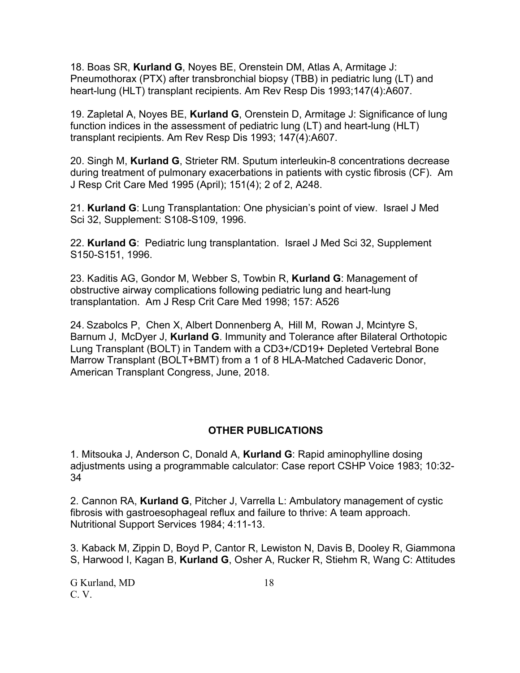18. Boas SR, **Kurland G**, Noyes BE, Orenstein DM, Atlas A, Armitage J: Pneumothorax (PTX) after transbronchial biopsy (TBB) in pediatric lung (LT) and heart-lung (HLT) transplant recipients. Am Rev Resp Dis 1993;147(4):A607.

19. Zapletal A, Noyes BE, **Kurland G**, Orenstein D, Armitage J: Significance of lung function indices in the assessment of pediatric lung (LT) and heart-lung (HLT) transplant recipients. Am Rev Resp Dis 1993; 147(4):A607.

20. Singh M, **Kurland G**, Strieter RM. Sputum interleukin-8 concentrations decrease during treatment of pulmonary exacerbations in patients with cystic fibrosis (CF). Am J Resp Crit Care Med 1995 (April); 151(4); 2 of 2, A248.

21. **Kurland G**: Lung Transplantation: One physician's point of view. Israel J Med Sci 32, Supplement: S108-S109, 1996.

22. **Kurland G**: Pediatric lung transplantation. Israel J Med Sci 32, Supplement S150-S151, 1996.

23. Kaditis AG, Gondor M, Webber S, Towbin R, **Kurland G**: Management of obstructive airway complications following pediatric lung and heart-lung transplantation. Am J Resp Crit Care Med 1998; 157: A526

24. Szabolcs P, Chen X, Albert Donnenberg A, Hill M, Rowan J, Mcintyre S, Barnum J, McDyer J, **Kurland G**. Immunity and Tolerance after Bilateral Orthotopic Lung Transplant (BOLT) in Tandem with a CD3+/CD19+ Depleted Vertebral Bone Marrow Transplant (BOLT+BMT) from a 1 of 8 HLA-Matched Cadaveric Donor, American Transplant Congress, June, 2018.

### **OTHER PUBLICATIONS**

1. Mitsouka J, Anderson C, Donald A, **Kurland G**: Rapid aminophylline dosing adjustments using a programmable calculator: Case report CSHP Voice 1983; 10:32- 34

2. Cannon RA, **Kurland G**, Pitcher J, Varrella L: Ambulatory management of cystic fibrosis with gastroesophageal reflux and failure to thrive: A team approach. Nutritional Support Services 1984; 4:11-13.

3. Kaback M, Zippin D, Boyd P, Cantor R, Lewiston N, Davis B, Dooley R, Giammona S, Harwood I, Kagan B, **Kurland G**, Osher A, Rucker R, Stiehm R, Wang C: Attitudes

G Kurland, MD 18 C. V.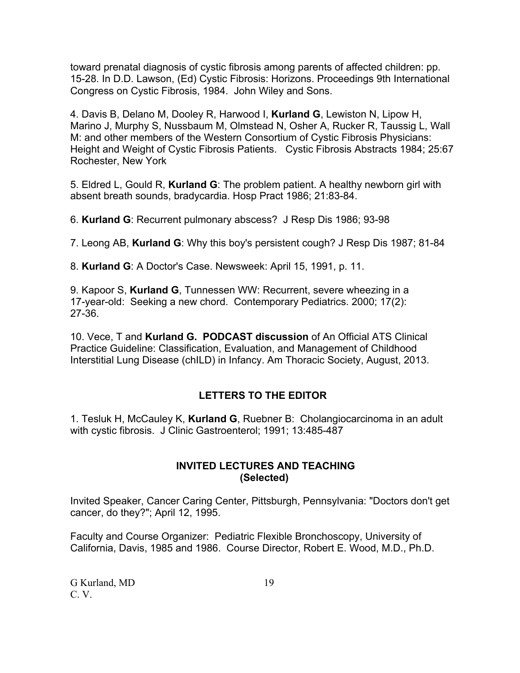toward prenatal diagnosis of cystic fibrosis among parents of affected children: pp. 15-28. In D.D. Lawson, (Ed) Cystic Fibrosis: Horizons. Proceedings 9th International Congress on Cystic Fibrosis, 1984. John Wiley and Sons.

4. Davis B, Delano M, Dooley R, Harwood I, **Kurland G**, Lewiston N, Lipow H, Marino J, Murphy S, Nussbaum M, Olmstead N, Osher A, Rucker R, Taussig L, Wall M: and other members of the Western Consortium of Cystic Fibrosis Physicians: Height and Weight of Cystic Fibrosis Patients. Cystic Fibrosis Abstracts 1984; 25:67 Rochester, New York

5. Eldred L, Gould R, **Kurland G**: The problem patient. A healthy newborn girl with absent breath sounds, bradycardia. Hosp Pract 1986; 21:83-84.

6. **Kurland G**: Recurrent pulmonary abscess? J Resp Dis 1986; 93-98

7. Leong AB, **Kurland G**: Why this boy's persistent cough? J Resp Dis 1987; 81-84

8. **Kurland G**: A Doctor's Case. Newsweek: April 15, 1991, p. 11.

9. Kapoor S, **Kurland G**, Tunnessen WW: Recurrent, severe wheezing in a 17-year-old: Seeking a new chord. Contemporary Pediatrics. 2000; 17(2): 27-36.

10. Vece, T and **Kurland G. PODCAST discussion** of An Official ATS Clinical Practice Guideline: Classification, Evaluation, and Management of Childhood Interstitial Lung Disease (chILD) in Infancy. Am Thoracic Society, August, 2013.

# **LETTERS TO THE EDITOR**

1. Tesluk H, McCauley K, **Kurland G**, Ruebner B: Cholangiocarcinoma in an adult with cystic fibrosis. J Clinic Gastroenterol; 1991; 13:485-487

### **INVITED LECTURES AND TEACHING (Selected)**

Invited Speaker, Cancer Caring Center, Pittsburgh, Pennsylvania: "Doctors don't get cancer, do they?"; April 12, 1995.

Faculty and Course Organizer: Pediatric Flexible Bronchoscopy, University of California, Davis, 1985 and 1986. Course Director, Robert E. Wood, M.D., Ph.D.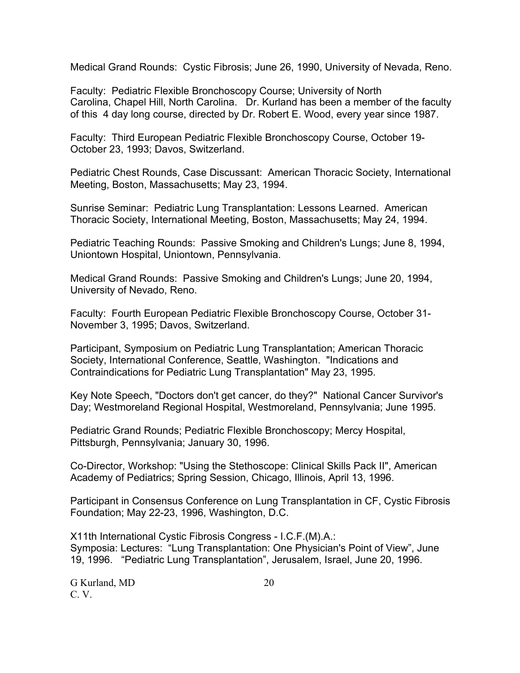Medical Grand Rounds: Cystic Fibrosis; June 26, 1990, University of Nevada, Reno.

Faculty: Pediatric Flexible Bronchoscopy Course; University of North Carolina, Chapel Hill, North Carolina. Dr. Kurland has been a member of the faculty of this 4 day long course, directed by Dr. Robert E. Wood, every year since 1987.

Faculty: Third European Pediatric Flexible Bronchoscopy Course, October 19- October 23, 1993; Davos, Switzerland.

Pediatric Chest Rounds, Case Discussant: American Thoracic Society, International Meeting, Boston, Massachusetts; May 23, 1994.

Sunrise Seminar: Pediatric Lung Transplantation: Lessons Learned. American Thoracic Society, International Meeting, Boston, Massachusetts; May 24, 1994.

Pediatric Teaching Rounds: Passive Smoking and Children's Lungs; June 8, 1994, Uniontown Hospital, Uniontown, Pennsylvania.

Medical Grand Rounds: Passive Smoking and Children's Lungs; June 20, 1994, University of Nevado, Reno.

Faculty: Fourth European Pediatric Flexible Bronchoscopy Course, October 31- November 3, 1995; Davos, Switzerland.

Participant, Symposium on Pediatric Lung Transplantation; American Thoracic Society, International Conference, Seattle, Washington. "Indications and Contraindications for Pediatric Lung Transplantation" May 23, 1995.

Key Note Speech, "Doctors don't get cancer, do they?" National Cancer Survivor's Day; Westmoreland Regional Hospital, Westmoreland, Pennsylvania; June 1995.

Pediatric Grand Rounds; Pediatric Flexible Bronchoscopy; Mercy Hospital, Pittsburgh, Pennsylvania; January 30, 1996.

Co-Director, Workshop: "Using the Stethoscope: Clinical Skills Pack II", American Academy of Pediatrics; Spring Session, Chicago, Illinois, April 13, 1996.

Participant in Consensus Conference on Lung Transplantation in CF, Cystic Fibrosis Foundation; May 22-23, 1996, Washington, D.C.

X11th International Cystic Fibrosis Congress - I.C.F.(M).A.: Symposia: Lectures: "Lung Transplantation: One Physician's Point of View", June 19, 1996. "Pediatric Lung Transplantation", Jerusalem, Israel, June 20, 1996.

G Kurland, MD 20 C. V.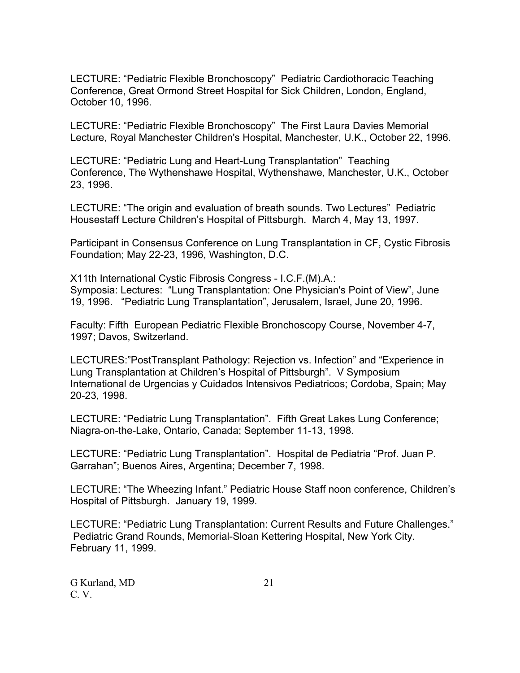LECTURE: "Pediatric Flexible Bronchoscopy" Pediatric Cardiothoracic Teaching Conference, Great Ormond Street Hospital for Sick Children, London, England, October 10, 1996.

LECTURE: "Pediatric Flexible Bronchoscopy" The First Laura Davies Memorial Lecture, Royal Manchester Children's Hospital, Manchester, U.K., October 22, 1996.

LECTURE: "Pediatric Lung and Heart-Lung Transplantation" Teaching Conference, The Wythenshawe Hospital, Wythenshawe, Manchester, U.K., October 23, 1996.

LECTURE: "The origin and evaluation of breath sounds. Two Lectures" Pediatric Housestaff Lecture Children's Hospital of Pittsburgh. March 4, May 13, 1997.

Participant in Consensus Conference on Lung Transplantation in CF, Cystic Fibrosis Foundation; May 22-23, 1996, Washington, D.C.

X11th International Cystic Fibrosis Congress - I.C.F.(M).A.: Symposia: Lectures: "Lung Transplantation: One Physician's Point of View", June 19, 1996. "Pediatric Lung Transplantation", Jerusalem, Israel, June 20, 1996.

Faculty: Fifth European Pediatric Flexible Bronchoscopy Course, November 4-7, 1997; Davos, Switzerland.

LECTURES:"PostTransplant Pathology: Rejection vs. Infection" and "Experience in Lung Transplantation at Children's Hospital of Pittsburgh". V Symposium International de Urgencias y Cuidados Intensivos Pediatricos; Cordoba, Spain; May 20-23, 1998.

LECTURE: "Pediatric Lung Transplantation". Fifth Great Lakes Lung Conference; Niagra-on-the-Lake, Ontario, Canada; September 11-13, 1998.

LECTURE: "Pediatric Lung Transplantation". Hospital de Pediatria "Prof. Juan P. Garrahan"; Buenos Aires, Argentina; December 7, 1998.

LECTURE: "The Wheezing Infant." Pediatric House Staff noon conference, Children's Hospital of Pittsburgh. January 19, 1999.

LECTURE: "Pediatric Lung Transplantation: Current Results and Future Challenges." Pediatric Grand Rounds, Memorial-Sloan Kettering Hospital, New York City. February 11, 1999.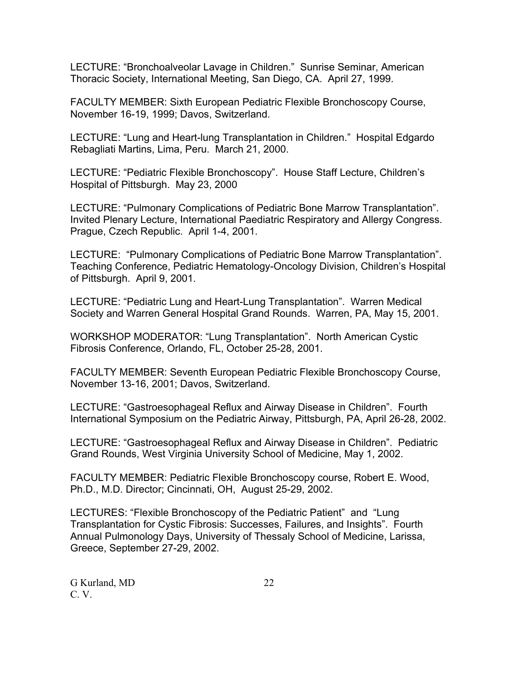LECTURE: "Bronchoalveolar Lavage in Children." Sunrise Seminar, American Thoracic Society, International Meeting, San Diego, CA. April 27, 1999.

FACULTY MEMBER: Sixth European Pediatric Flexible Bronchoscopy Course, November 16-19, 1999; Davos, Switzerland.

LECTURE: "Lung and Heart-lung Transplantation in Children." Hospital Edgardo Rebagliati Martins, Lima, Peru. March 21, 2000.

LECTURE: "Pediatric Flexible Bronchoscopy". House Staff Lecture, Children's Hospital of Pittsburgh. May 23, 2000

LECTURE: "Pulmonary Complications of Pediatric Bone Marrow Transplantation". Invited Plenary Lecture, International Paediatric Respiratory and Allergy Congress. Prague, Czech Republic. April 1-4, 2001.

LECTURE: "Pulmonary Complications of Pediatric Bone Marrow Transplantation". Teaching Conference, Pediatric Hematology-Oncology Division, Children's Hospital of Pittsburgh. April 9, 2001.

LECTURE: "Pediatric Lung and Heart-Lung Transplantation". Warren Medical Society and Warren General Hospital Grand Rounds. Warren, PA, May 15, 2001.

WORKSHOP MODERATOR: "Lung Transplantation". North American Cystic Fibrosis Conference, Orlando, FL, October 25-28, 2001.

FACULTY MEMBER: Seventh European Pediatric Flexible Bronchoscopy Course, November 13-16, 2001; Davos, Switzerland.

LECTURE: "Gastroesophageal Reflux and Airway Disease in Children". Fourth International Symposium on the Pediatric Airway, Pittsburgh, PA, April 26-28, 2002.

LECTURE: "Gastroesophageal Reflux and Airway Disease in Children". Pediatric Grand Rounds, West Virginia University School of Medicine, May 1, 2002.

FACULTY MEMBER: Pediatric Flexible Bronchoscopy course, Robert E. Wood, Ph.D., M.D. Director; Cincinnati, OH, August 25-29, 2002.

LECTURES: "Flexible Bronchoscopy of the Pediatric Patient" and "Lung Transplantation for Cystic Fibrosis: Successes, Failures, and Insights". Fourth Annual Pulmonology Days, University of Thessaly School of Medicine, Larissa, Greece, September 27-29, 2002.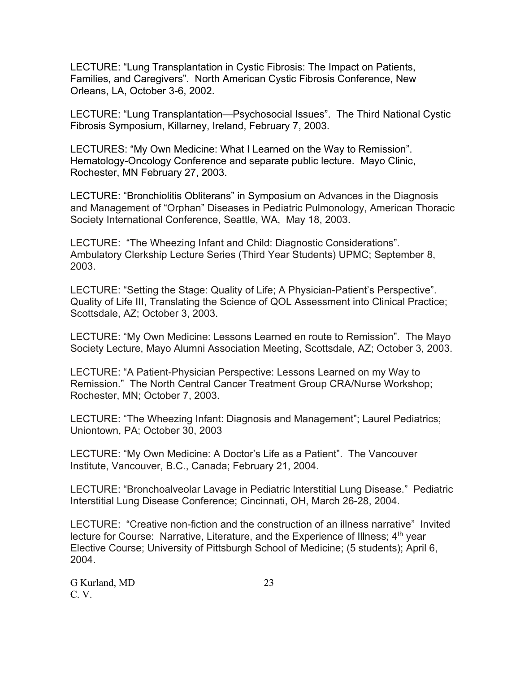LECTURE: "Lung Transplantation in Cystic Fibrosis: The Impact on Patients, Families, and Caregivers". North American Cystic Fibrosis Conference, New Orleans, LA, October 3-6, 2002.

LECTURE: "Lung Transplantation—Psychosocial Issues". The Third National Cystic Fibrosis Symposium, Killarney, Ireland, February 7, 2003.

LECTURES: "My Own Medicine: What I Learned on the Way to Remission". Hematology-Oncology Conference and separate public lecture. Mayo Clinic, Rochester, MN February 27, 2003.

LECTURE: "Bronchiolitis Obliterans" in Symposium on Advances in the Diagnosis and Management of "Orphan" Diseases in Pediatric Pulmonology, American Thoracic Society International Conference, Seattle, WA, May 18, 2003.

LECTURE: "The Wheezing Infant and Child: Diagnostic Considerations". Ambulatory Clerkship Lecture Series (Third Year Students) UPMC; September 8, 2003.

LECTURE: "Setting the Stage: Quality of Life; A Physician-Patient's Perspective". Quality of Life III, Translating the Science of QOL Assessment into Clinical Practice; Scottsdale, AZ; October 3, 2003.

LECTURE: "My Own Medicine: Lessons Learned en route to Remission". The Mayo Society Lecture, Mayo Alumni Association Meeting, Scottsdale, AZ; October 3, 2003.

LECTURE: "A Patient-Physician Perspective: Lessons Learned on my Way to Remission." The North Central Cancer Treatment Group CRA/Nurse Workshop; Rochester, MN; October 7, 2003.

LECTURE: "The Wheezing Infant: Diagnosis and Management"; Laurel Pediatrics; Uniontown, PA; October 30, 2003

LECTURE: "My Own Medicine: A Doctor's Life as a Patient". The Vancouver Institute, Vancouver, B.C., Canada; February 21, 2004.

LECTURE: "Bronchoalveolar Lavage in Pediatric Interstitial Lung Disease." Pediatric Interstitial Lung Disease Conference; Cincinnati, OH, March 26-28, 2004.

LECTURE: "Creative non-fiction and the construction of an illness narrative" Invited lecture for Course: Narrative, Literature, and the Experience of Illness; 4<sup>th</sup> year Elective Course; University of Pittsburgh School of Medicine; (5 students); April 6, 2004.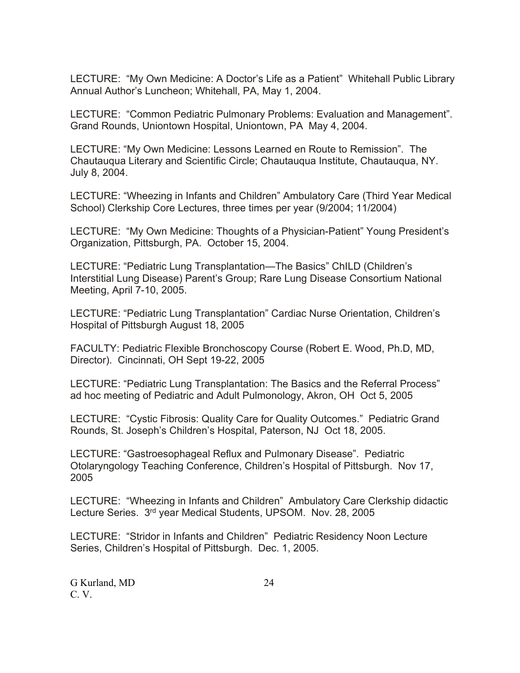LECTURE: "My Own Medicine: A Doctor's Life as a Patient" Whitehall Public Library Annual Author's Luncheon; Whitehall, PA, May 1, 2004.

LECTURE: "Common Pediatric Pulmonary Problems: Evaluation and Management". Grand Rounds, Uniontown Hospital, Uniontown, PA May 4, 2004.

LECTURE: "My Own Medicine: Lessons Learned en Route to Remission". The Chautauqua Literary and Scientific Circle; Chautauqua Institute, Chautauqua, NY. July 8, 2004.

LECTURE: "Wheezing in Infants and Children" Ambulatory Care (Third Year Medical School) Clerkship Core Lectures, three times per year (9/2004; 11/2004)

LECTURE: "My Own Medicine: Thoughts of a Physician-Patient" Young President's Organization, Pittsburgh, PA. October 15, 2004.

LECTURE: "Pediatric Lung Transplantation—The Basics" ChILD (Children's Interstitial Lung Disease) Parent's Group; Rare Lung Disease Consortium National Meeting, April 7-10, 2005.

LECTURE: "Pediatric Lung Transplantation" Cardiac Nurse Orientation, Children's Hospital of Pittsburgh August 18, 2005

FACULTY: Pediatric Flexible Bronchoscopy Course (Robert E. Wood, Ph.D, MD, Director). Cincinnati, OH Sept 19-22, 2005

LECTURE: "Pediatric Lung Transplantation: The Basics and the Referral Process" ad hoc meeting of Pediatric and Adult Pulmonology, Akron, OH Oct 5, 2005

LECTURE: "Cystic Fibrosis: Quality Care for Quality Outcomes." Pediatric Grand Rounds, St. Joseph's Children's Hospital, Paterson, NJ Oct 18, 2005.

LECTURE: "Gastroesophageal Reflux and Pulmonary Disease". Pediatric Otolaryngology Teaching Conference, Children's Hospital of Pittsburgh. Nov 17, 2005

LECTURE: "Wheezing in Infants and Children" Ambulatory Care Clerkship didactic Lecture Series. 3rd year Medical Students, UPSOM. Nov. 28, 2005

LECTURE: "Stridor in Infants and Children" Pediatric Residency Noon Lecture Series, Children's Hospital of Pittsburgh. Dec. 1, 2005.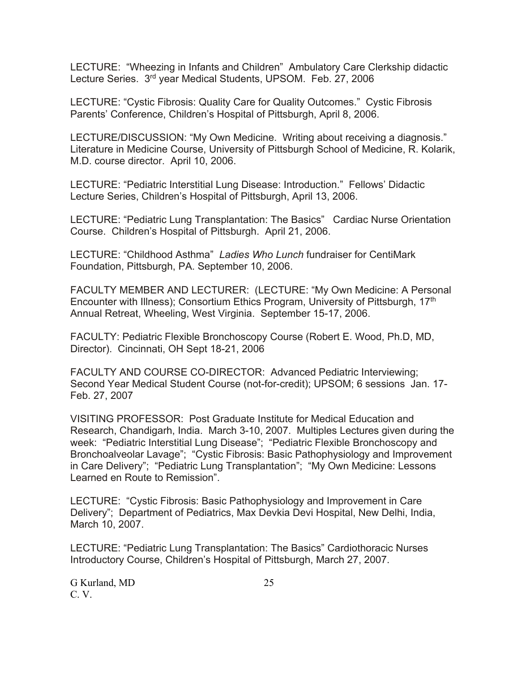LECTURE: "Wheezing in Infants and Children" Ambulatory Care Clerkship didactic Lecture Series. 3<sup>rd</sup> year Medical Students, UPSOM. Feb. 27, 2006

LECTURE: "Cystic Fibrosis: Quality Care for Quality Outcomes." Cystic Fibrosis Parents' Conference, Children's Hospital of Pittsburgh, April 8, 2006.

LECTURE/DISCUSSION: "My Own Medicine. Writing about receiving a diagnosis." Literature in Medicine Course, University of Pittsburgh School of Medicine, R. Kolarik, M.D. course director. April 10, 2006.

LECTURE: "Pediatric Interstitial Lung Disease: Introduction." Fellows' Didactic Lecture Series, Children's Hospital of Pittsburgh, April 13, 2006.

LECTURE: "Pediatric Lung Transplantation: The Basics" Cardiac Nurse Orientation Course. Children's Hospital of Pittsburgh. April 21, 2006.

LECTURE: "Childhood Asthma" *Ladies Who Lunch* fundraiser for CentiMark Foundation, Pittsburgh, PA. September 10, 2006.

FACULTY MEMBER AND LECTURER: (LECTURE: "My Own Medicine: A Personal Encounter with Illness); Consortium Ethics Program, University of Pittsburgh, 17th Annual Retreat, Wheeling, West Virginia. September 15-17, 2006.

FACULTY: Pediatric Flexible Bronchoscopy Course (Robert E. Wood, Ph.D, MD, Director). Cincinnati, OH Sept 18-21, 2006

FACULTY AND COURSE CO-DIRECTOR: Advanced Pediatric Interviewing; Second Year Medical Student Course (not-for-credit); UPSOM; 6 sessions Jan. 17- Feb. 27, 2007

VISITING PROFESSOR: Post Graduate Institute for Medical Education and Research, Chandigarh, India. March 3-10, 2007. Multiples Lectures given during the week: "Pediatric Interstitial Lung Disease"; "Pediatric Flexible Bronchoscopy and Bronchoalveolar Lavage"; "Cystic Fibrosis: Basic Pathophysiology and Improvement in Care Delivery"; "Pediatric Lung Transplantation"; "My Own Medicine: Lessons Learned en Route to Remission".

LECTURE: "Cystic Fibrosis: Basic Pathophysiology and Improvement in Care Delivery"; Department of Pediatrics, Max Devkia Devi Hospital, New Delhi, India, March 10, 2007.

LECTURE: "Pediatric Lung Transplantation: The Basics" Cardiothoracic Nurses Introductory Course, Children's Hospital of Pittsburgh, March 27, 2007.

G Kurland, MD 25 C. V.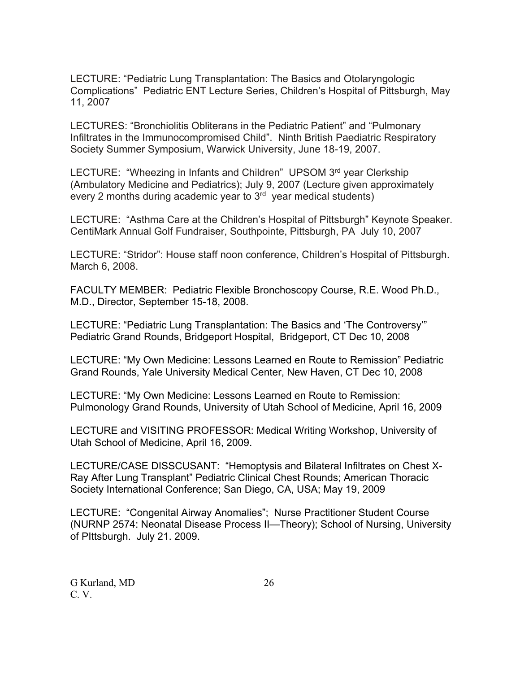LECTURE: "Pediatric Lung Transplantation: The Basics and Otolaryngologic Complications" Pediatric ENT Lecture Series, Children's Hospital of Pittsburgh, May 11, 2007

LECTURES: "Bronchiolitis Obliterans in the Pediatric Patient" and "Pulmonary Infiltrates in the Immunocompromised Child". Ninth British Paediatric Respiratory Society Summer Symposium, Warwick University, June 18-19, 2007.

LECTURE: "Wheezing in Infants and Children" UPSOM 3rd year Clerkship (Ambulatory Medicine and Pediatrics); July 9, 2007 (Lecture given approximately every 2 months during academic year to  $3<sup>rd</sup>$  year medical students)

LECTURE: "Asthma Care at the Children's Hospital of Pittsburgh" Keynote Speaker. CentiMark Annual Golf Fundraiser, Southpointe, Pittsburgh, PA July 10, 2007

LECTURE: "Stridor": House staff noon conference, Children's Hospital of Pittsburgh. March 6, 2008.

FACULTY MEMBER: Pediatric Flexible Bronchoscopy Course, R.E. Wood Ph.D., M.D., Director, September 15-18, 2008.

LECTURE: "Pediatric Lung Transplantation: The Basics and 'The Controversy'" Pediatric Grand Rounds, Bridgeport Hospital, Bridgeport, CT Dec 10, 2008

LECTURE: "My Own Medicine: Lessons Learned en Route to Remission" Pediatric Grand Rounds, Yale University Medical Center, New Haven, CT Dec 10, 2008

LECTURE: "My Own Medicine: Lessons Learned en Route to Remission: Pulmonology Grand Rounds, University of Utah School of Medicine, April 16, 2009

LECTURE and VISITING PROFESSOR: Medical Writing Workshop, University of Utah School of Medicine, April 16, 2009.

LECTURE/CASE DISSCUSANT: "Hemoptysis and Bilateral Infiltrates on Chest X-Ray After Lung Transplant" Pediatric Clinical Chest Rounds; American Thoracic Society International Conference; San Diego, CA, USA; May 19, 2009

LECTURE: "Congenital Airway Anomalies"; Nurse Practitioner Student Course (NURNP 2574: Neonatal Disease Process II—Theory); School of Nursing, University of PIttsburgh. July 21. 2009.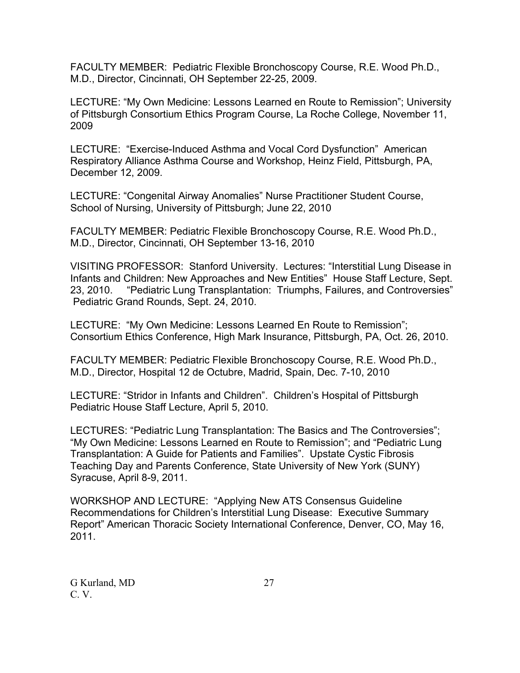FACULTY MEMBER: Pediatric Flexible Bronchoscopy Course, R.E. Wood Ph.D., M.D., Director, Cincinnati, OH September 22-25, 2009.

LECTURE: "My Own Medicine: Lessons Learned en Route to Remission"; University of Pittsburgh Consortium Ethics Program Course, La Roche College, November 11, 2009

LECTURE: "Exercise-Induced Asthma and Vocal Cord Dysfunction" American Respiratory Alliance Asthma Course and Workshop, Heinz Field, Pittsburgh, PA, December 12, 2009.

LECTURE: "Congenital Airway Anomalies" Nurse Practitioner Student Course, School of Nursing, University of Pittsburgh; June 22, 2010

FACULTY MEMBER: Pediatric Flexible Bronchoscopy Course, R.E. Wood Ph.D., M.D., Director, Cincinnati, OH September 13-16, 2010

VISITING PROFESSOR: Stanford University. Lectures: "Interstitial Lung Disease in Infants and Children: New Approaches and New Entities" House Staff Lecture, Sept. 23, 2010. "Pediatric Lung Transplantation: Triumphs, Failures, and Controversies" Pediatric Grand Rounds, Sept. 24, 2010.

LECTURE: "My Own Medicine: Lessons Learned En Route to Remission"; Consortium Ethics Conference, High Mark Insurance, Pittsburgh, PA, Oct. 26, 2010.

FACULTY MEMBER: Pediatric Flexible Bronchoscopy Course, R.E. Wood Ph.D., M.D., Director, Hospital 12 de Octubre, Madrid, Spain, Dec. 7-10, 2010

LECTURE: "Stridor in Infants and Children". Children's Hospital of Pittsburgh Pediatric House Staff Lecture, April 5, 2010.

LECTURES: "Pediatric Lung Transplantation: The Basics and The Controversies"; "My Own Medicine: Lessons Learned en Route to Remission"; and "Pediatric Lung Transplantation: A Guide for Patients and Families". Upstate Cystic Fibrosis Teaching Day and Parents Conference, State University of New York (SUNY) Syracuse, April 8-9, 2011.

WORKSHOP AND LECTURE: "Applying New ATS Consensus Guideline Recommendations for Children's Interstitial Lung Disease: Executive Summary Report" American Thoracic Society International Conference, Denver, CO, May 16, 2011.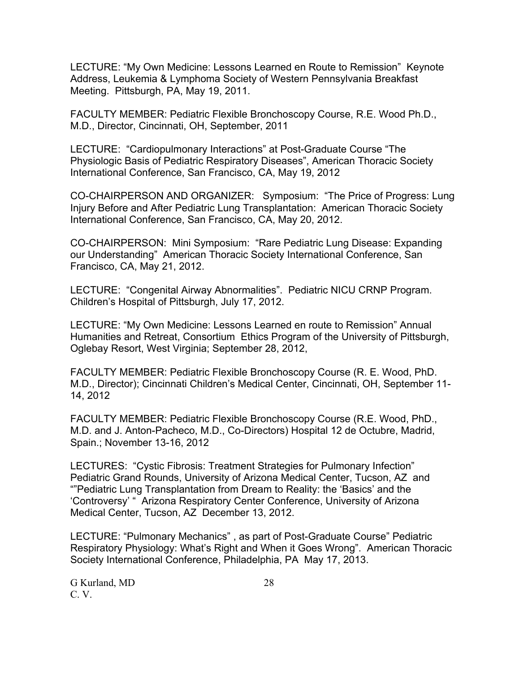LECTURE: "My Own Medicine: Lessons Learned en Route to Remission" Keynote Address, Leukemia & Lymphoma Society of Western Pennsylvania Breakfast Meeting. Pittsburgh, PA, May 19, 2011.

FACULTY MEMBER: Pediatric Flexible Bronchoscopy Course, R.E. Wood Ph.D., M.D., Director, Cincinnati, OH, September, 2011

LECTURE: "Cardiopulmonary Interactions" at Post-Graduate Course "The Physiologic Basis of Pediatric Respiratory Diseases", American Thoracic Society International Conference, San Francisco, CA, May 19, 2012

CO-CHAIRPERSON AND ORGANIZER: Symposium: "The Price of Progress: Lung Injury Before and After Pediatric Lung Transplantation: American Thoracic Society International Conference, San Francisco, CA, May 20, 2012.

CO-CHAIRPERSON: Mini Symposium: "Rare Pediatric Lung Disease: Expanding our Understanding" American Thoracic Society International Conference, San Francisco, CA, May 21, 2012.

LECTURE: "Congenital Airway Abnormalities". Pediatric NICU CRNP Program. Children's Hospital of Pittsburgh, July 17, 2012.

LECTURE: "My Own Medicine: Lessons Learned en route to Remission" Annual Humanities and Retreat, Consortium Ethics Program of the University of Pittsburgh, Oglebay Resort, West Virginia; September 28, 2012,

FACULTY MEMBER: Pediatric Flexible Bronchoscopy Course (R. E. Wood, PhD. M.D., Director); Cincinnati Children's Medical Center, Cincinnati, OH, September 11- 14, 2012

FACULTY MEMBER: Pediatric Flexible Bronchoscopy Course (R.E. Wood, PhD., M.D. and J. Anton-Pacheco, M.D., Co-Directors) Hospital 12 de Octubre, Madrid, Spain.; November 13-16, 2012

LECTURES: "Cystic Fibrosis: Treatment Strategies for Pulmonary Infection" Pediatric Grand Rounds, University of Arizona Medical Center, Tucson, AZ and ""Pediatric Lung Transplantation from Dream to Reality: the 'Basics' and the 'Controversy' " Arizona Respiratory Center Conference, University of Arizona Medical Center, Tucson, AZ December 13, 2012.

LECTURE: "Pulmonary Mechanics" , as part of Post-Graduate Course" Pediatric Respiratory Physiology: What's Right and When it Goes Wrong". American Thoracic Society International Conference, Philadelphia, PA May 17, 2013.

G Kurland, MD 28 C. V.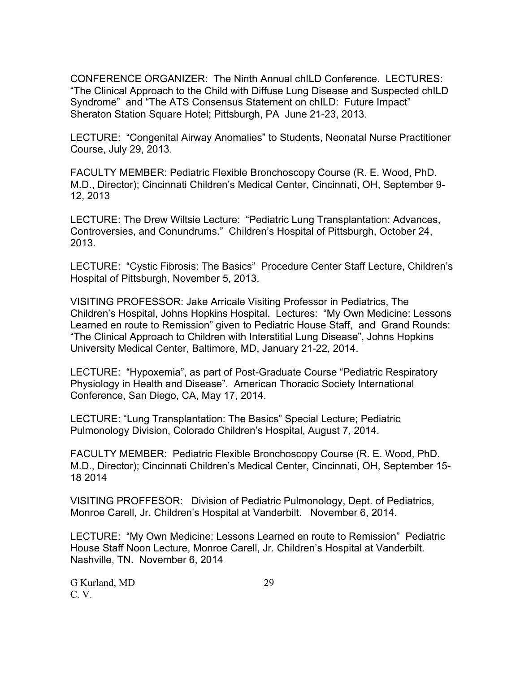CONFERENCE ORGANIZER: The Ninth Annual chILD Conference. LECTURES: "The Clinical Approach to the Child with Diffuse Lung Disease and Suspected chILD Syndrome" and "The ATS Consensus Statement on chILD: Future Impact" Sheraton Station Square Hotel; Pittsburgh, PA June 21-23, 2013.

LECTURE: "Congenital Airway Anomalies" to Students, Neonatal Nurse Practitioner Course, July 29, 2013.

FACULTY MEMBER: Pediatric Flexible Bronchoscopy Course (R. E. Wood, PhD. M.D., Director); Cincinnati Children's Medical Center, Cincinnati, OH, September 9- 12, 2013

LECTURE: The Drew Wiltsie Lecture: "Pediatric Lung Transplantation: Advances, Controversies, and Conundrums." Children's Hospital of Pittsburgh, October 24, 2013.

LECTURE: "Cystic Fibrosis: The Basics" Procedure Center Staff Lecture, Children's Hospital of Pittsburgh, November 5, 2013.

VISITING PROFESSOR: Jake Arricale Visiting Professor in Pediatrics, The Children's Hospital, Johns Hopkins Hospital. Lectures: "My Own Medicine: Lessons Learned en route to Remission" given to Pediatric House Staff, and Grand Rounds: "The Clinical Approach to Children with Interstitial Lung Disease", Johns Hopkins University Medical Center, Baltimore, MD, January 21-22, 2014.

LECTURE: "Hypoxemia", as part of Post-Graduate Course "Pediatric Respiratory Physiology in Health and Disease". American Thoracic Society International Conference, San Diego, CA, May 17, 2014.

LECTURE: "Lung Transplantation: The Basics" Special Lecture; Pediatric Pulmonology Division, Colorado Children's Hospital, August 7, 2014.

FACULTY MEMBER: Pediatric Flexible Bronchoscopy Course (R. E. Wood, PhD. M.D., Director); Cincinnati Children's Medical Center, Cincinnati, OH, September 15- 18 2014

VISITING PROFFESOR: Division of Pediatric Pulmonology, Dept. of Pediatrics, Monroe Carell, Jr. Children's Hospital at Vanderbilt. November 6, 2014.

LECTURE: "My Own Medicine: Lessons Learned en route to Remission" Pediatric House Staff Noon Lecture, Monroe Carell, Jr. Children's Hospital at Vanderbilt. Nashville, TN. November 6, 2014

G Kurland, MD 29 C. V.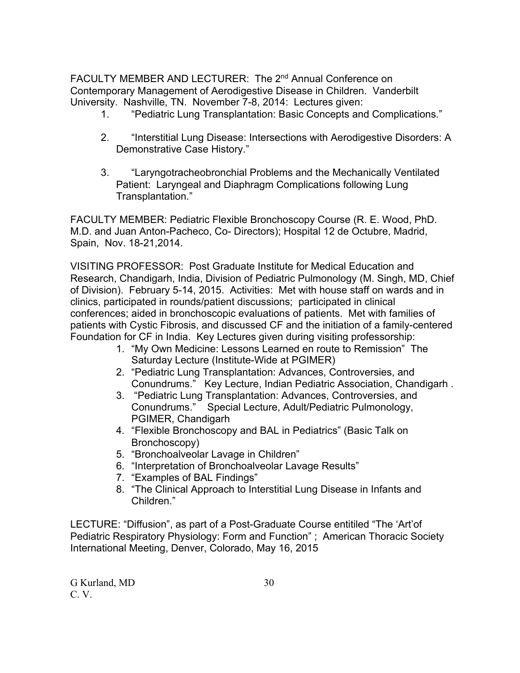FACULTY MEMBER AND LECTURER: The 2<sup>nd</sup> Annual Conference on Contemporary Management of Aerodigestive Disease in Children. Vanderbilt University. Nashville, TN. November 7-8, 2014: Lectures given:

- 1. "Pediatric Lung Transplantation: Basic Concepts and Complications."
- 2. "Interstitial Lung Disease: Intersections with Aerodigestive Disorders: A Demonstrative Case History."
- 3. "Laryngotracheobronchial Problems and the Mechanically Ventilated Patient: Laryngeal and Diaphragm Complications following Lung Transplantation."

FACULTY MEMBER: Pediatric Flexible Bronchoscopy Course (R. E. Wood, PhD. M.D. and Juan Anton-Pacheco, Co- Directors); Hospital 12 de Octubre, Madrid, Spain, Nov. 18-21,2014.

VISITING PROFESSOR: Post Graduate Institute for Medical Education and Research, Chandigarh, India, Division of Pediatric Pulmonology (M. Singh, MD, Chief of Division). February 5-14, 2015. Activities: Met with house staff on wards and in clinics, participated in rounds/patient discussions; participated in clinical conferences; aided in bronchoscopic evaluations of patients. Met with families of patients with Cystic Fibrosis, and discussed CF and the initiation of a family-centered Foundation for CF in India. Key Lectures given during visiting professorship:

- 1. "My Own Medicine: Lessons Learned en route to Remission" The Saturday Lecture (Institute-Wide at PGIMER)
- 2. "Pediatric Lung Transplantation: Advances, Controversies, and Conundrums." Key Lecture, Indian Pediatric Association, Chandigarh .
- 3. "Pediatric Lung Transplantation: Advances, Controversies, and Conundrums." Special Lecture, Adult/Pediatric Pulmonology, PGIMER, Chandigarh
- 4. "Flexible Bronchoscopy and BAL in Pediatrics" (Basic Talk on Bronchoscopy)
- 5. "Bronchoalveolar Lavage in Children"
- 6. "Interpretation of Bronchoalveolar Lavage Results"
- 7. "Examples of BAL Findings"
- 8. "The Clinical Approach to Interstitial Lung Disease in Infants and Children."

LECTURE: "Diffusion", as part of a Post-Graduate Course entitiled "The 'Art'of Pediatric Respiratory Physiology: Form and Function" ; American Thoracic Society International Meeting, Denver, Colorado, May 16, 2015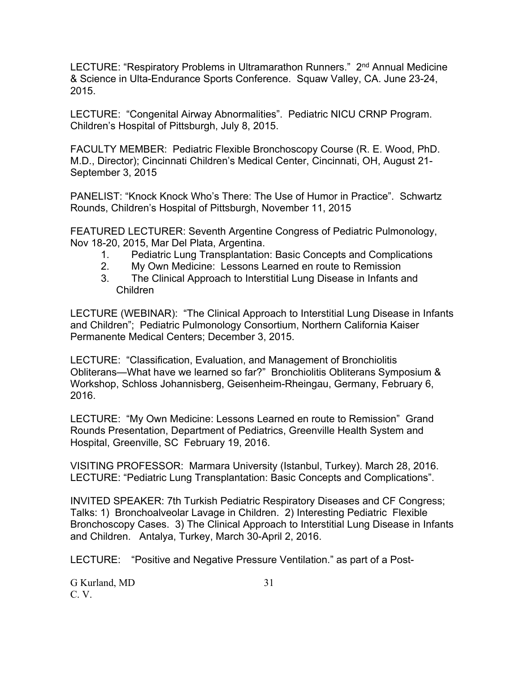LECTURE: "Respiratory Problems in Ultramarathon Runners." 2<sup>nd</sup> Annual Medicine & Science in Ulta-Endurance Sports Conference. Squaw Valley, CA. June 23-24, 2015.

LECTURE: "Congenital Airway Abnormalities". Pediatric NICU CRNP Program. Children's Hospital of Pittsburgh, July 8, 2015.

FACULTY MEMBER: Pediatric Flexible Bronchoscopy Course (R. E. Wood, PhD. M.D., Director); Cincinnati Children's Medical Center, Cincinnati, OH, August 21- September 3, 2015

PANELIST: "Knock Knock Who's There: The Use of Humor in Practice". Schwartz Rounds, Children's Hospital of Pittsburgh, November 11, 2015

FEATURED LECTURER: Seventh Argentine Congress of Pediatric Pulmonology, Nov 18-20, 2015, Mar Del Plata, Argentina.

- 1. Pediatric Lung Transplantation: Basic Concepts and Complications
- 2. My Own Medicine: Lessons Learned en route to Remission
- 3. The Clinical Approach to Interstitial Lung Disease in Infants and Children

LECTURE (WEBINAR): "The Clinical Approach to Interstitial Lung Disease in Infants and Children"; Pediatric Pulmonology Consortium, Northern California Kaiser Permanente Medical Centers; December 3, 2015.

LECTURE: "Classification, Evaluation, and Management of Bronchiolitis Obliterans—What have we learned so far?" Bronchiolitis Obliterans Symposium & Workshop, Schloss Johannisberg, Geisenheim-Rheingau, Germany, February 6, 2016.

LECTURE: "My Own Medicine: Lessons Learned en route to Remission" Grand Rounds Presentation, Department of Pediatrics, Greenville Health System and Hospital, Greenville, SC February 19, 2016.

VISITING PROFESSOR: Marmara University (Istanbul, Turkey). March 28, 2016. LECTURE: "Pediatric Lung Transplantation: Basic Concepts and Complications".

INVITED SPEAKER: 7th Turkish Pediatric Respiratory Diseases and CF Congress; Talks: 1) Bronchoalveolar Lavage in Children. 2) Interesting Pediatric Flexible Bronchoscopy Cases. 3) The Clinical Approach to Interstitial Lung Disease in Infants and Children. Antalya, Turkey, March 30-April 2, 2016.

LECTURE: "Positive and Negative Pressure Ventilation." as part of a Post-

G Kurland, MD 31 C. V.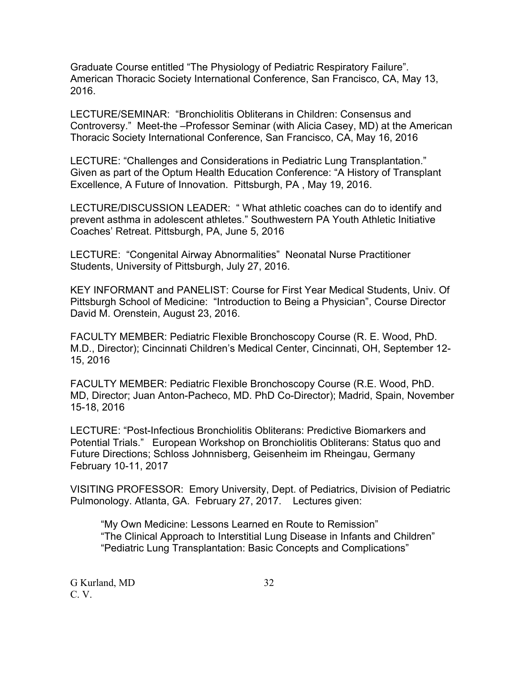Graduate Course entitled "The Physiology of Pediatric Respiratory Failure". American Thoracic Society International Conference, San Francisco, CA, May 13, 2016.

LECTURE/SEMINAR: "Bronchiolitis Obliterans in Children: Consensus and Controversy." Meet-the –Professor Seminar (with Alicia Casey, MD) at the American Thoracic Society International Conference, San Francisco, CA, May 16, 2016

LECTURE: "Challenges and Considerations in Pediatric Lung Transplantation." Given as part of the Optum Health Education Conference: "A History of Transplant Excellence, A Future of Innovation. Pittsburgh, PA , May 19, 2016.

LECTURE/DISCUSSION LEADER: " What athletic coaches can do to identify and prevent asthma in adolescent athletes." Southwestern PA Youth Athletic Initiative Coaches' Retreat. Pittsburgh, PA, June 5, 2016

LECTURE: "Congenital Airway Abnormalities" Neonatal Nurse Practitioner Students, University of Pittsburgh, July 27, 2016.

KEY INFORMANT and PANELIST: Course for First Year Medical Students, Univ. Of Pittsburgh School of Medicine: "Introduction to Being a Physician", Course Director David M. Orenstein, August 23, 2016.

FACULTY MEMBER: Pediatric Flexible Bronchoscopy Course (R. E. Wood, PhD. M.D., Director); Cincinnati Children's Medical Center, Cincinnati, OH, September 12- 15, 2016

FACULTY MEMBER: Pediatric Flexible Bronchoscopy Course (R.E. Wood, PhD. MD, Director; Juan Anton-Pacheco, MD. PhD Co-Director); Madrid, Spain, November 15-18, 2016

LECTURE: "Post-Infectious Bronchiolitis Obliterans: Predictive Biomarkers and Potential Trials." European Workshop on Bronchiolitis Obliterans: Status quo and Future Directions; Schloss Johnnisberg, Geisenheim im Rheingau, Germany February 10-11, 2017

VISITING PROFESSOR: Emory University, Dept. of Pediatrics, Division of Pediatric Pulmonology. Atlanta, GA. February 27, 2017. Lectures given:

 "My Own Medicine: Lessons Learned en Route to Remission" "The Clinical Approach to Interstitial Lung Disease in Infants and Children" "Pediatric Lung Transplantation: Basic Concepts and Complications"

G Kurland, MD 32 C. V.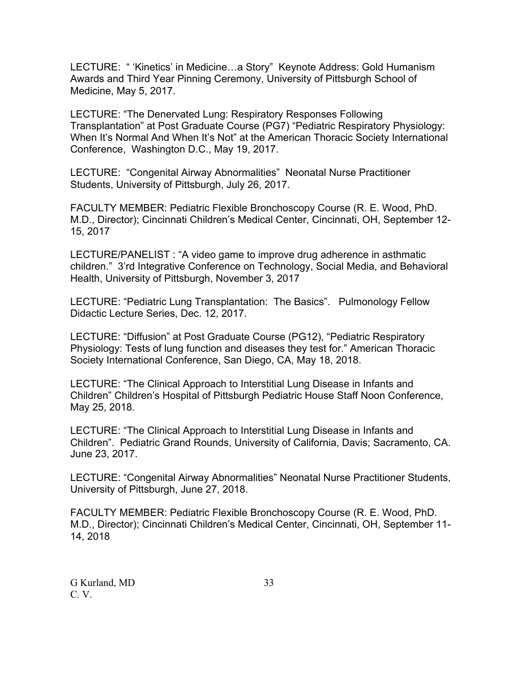LECTURE: " 'Kinetics' in Medicine…a Story" Keynote Address: Gold Humanism Awards and Third Year Pinning Ceremony, University of Pittsburgh School of Medicine, May 5, 2017.

LECTURE: "The Denervated Lung: Respiratory Responses Following Transplantation" at Post Graduate Course (PG7) "Pediatric Respiratory Physiology: When It's Normal And When It's Not" at the American Thoracic Society International Conference, Washington D.C., May 19, 2017.

LECTURE: "Congenital Airway Abnormalities" Neonatal Nurse Practitioner Students, University of Pittsburgh, July 26, 2017.

FACULTY MEMBER: Pediatric Flexible Bronchoscopy Course (R. E. Wood, PhD. M.D., Director); Cincinnati Children's Medical Center, Cincinnati, OH, September 12- 15, 2017

LECTURE/PANELIST : "A video game to improve drug adherence in asthmatic children." 3'rd Integrative Conference on Technology, Social Media, and Behavioral Health, University of Pittsburgh, November 3, 2017

LECTURE: "Pediatric Lung Transplantation: The Basics". Pulmonology Fellow Didactic Lecture Series, Dec. 12, 2017.

LECTURE: "Diffusion" at Post Graduate Course (PG12), "Pediatric Respiratory Physiology: Tests of lung function and diseases they test for." American Thoracic Society International Conference, San Diego, CA, May 18, 2018.

LECTURE: "The Clinical Approach to Interstitial Lung Disease in Infants and Children" Children's Hospital of Pittsburgh Pediatric House Staff Noon Conference, May 25, 2018.

LECTURE: "The Clinical Approach to Interstitial Lung Disease in Infants and Children". Pediatric Grand Rounds, University of California, Davis; Sacramento, CA. June 23, 2017.

LECTURE: "Congenital Airway Abnormalities" Neonatal Nurse Practitioner Students, University of Pittsburgh, June 27, 2018.

FACULTY MEMBER: Pediatric Flexible Bronchoscopy Course (R. E. Wood, PhD. M.D., Director); Cincinnati Children's Medical Center, Cincinnati, OH, September 11- 14, 2018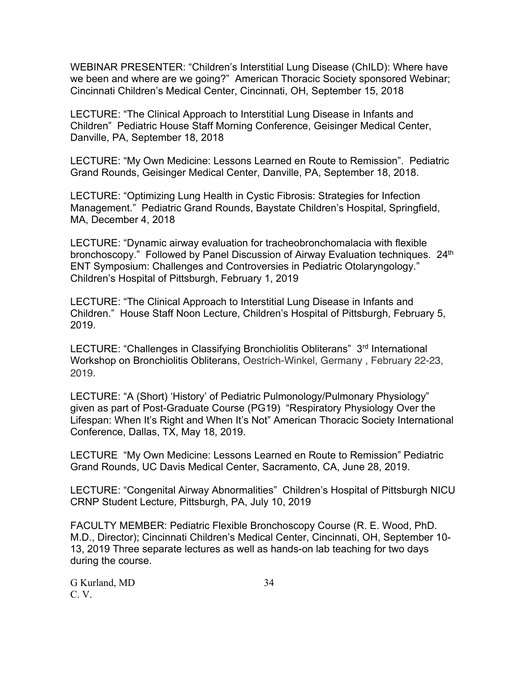WEBINAR PRESENTER: "Children's Interstitial Lung Disease (ChILD): Where have we been and where are we going?" American Thoracic Society sponsored Webinar; Cincinnati Children's Medical Center, Cincinnati, OH, September 15, 2018

LECTURE: "The Clinical Approach to Interstitial Lung Disease in Infants and Children" Pediatric House Staff Morning Conference, Geisinger Medical Center, Danville, PA, September 18, 2018

LECTURE: "My Own Medicine: Lessons Learned en Route to Remission". Pediatric Grand Rounds, Geisinger Medical Center, Danville, PA, September 18, 2018.

LECTURE: "Optimizing Lung Health in Cystic Fibrosis: Strategies for Infection Management." Pediatric Grand Rounds, Baystate Children's Hospital, Springfield, MA, December 4, 2018

LECTURE: "Dynamic airway evaluation for tracheobronchomalacia with flexible bronchoscopy." Followed by Panel Discussion of Airway Evaluation techniques. 24<sup>th</sup> ENT Symposium: Challenges and Controversies in Pediatric Otolaryngology." Children's Hospital of Pittsburgh, February 1, 2019

LECTURE: "The Clinical Approach to Interstitial Lung Disease in Infants and Children." House Staff Noon Lecture, Children's Hospital of Pittsburgh, February 5, 2019.

LECTURE: "Challenges in Classifying Bronchiolitis Obliterans" 3<sup>rd</sup> International Workshop on Bronchiolitis Obliterans, Oestrich-Winkel, Germany , February 22-23, 2019.

LECTURE: "A (Short) 'History' of Pediatric Pulmonology/Pulmonary Physiology" given as part of Post-Graduate Course (PG19) "Respiratory Physiology Over the Lifespan: When It's Right and When It's Not" American Thoracic Society International Conference, Dallas, TX, May 18, 2019.

LECTURE "My Own Medicine: Lessons Learned en Route to Remission" Pediatric Grand Rounds, UC Davis Medical Center, Sacramento, CA, June 28, 2019.

LECTURE: "Congenital Airway Abnormalities" Children's Hospital of Pittsburgh NICU CRNP Student Lecture, Pittsburgh, PA, July 10, 2019

FACULTY MEMBER: Pediatric Flexible Bronchoscopy Course (R. E. Wood, PhD. M.D., Director); Cincinnati Children's Medical Center, Cincinnati, OH, September 10- 13, 2019 Three separate lectures as well as hands-on lab teaching for two days during the course.

G Kurland, MD 34 C. V.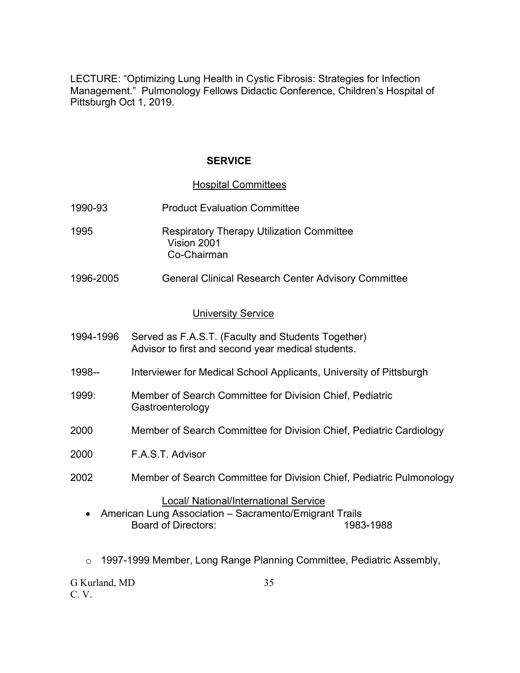LECTURE: "Optimizing Lung Health in Cystic Fibrosis: Strategies for Infection Management." Pulmonology Fellows Didactic Conference, Children's Hospital of Pittsburgh Oct 1, 2019.

### **SERVICE**

#### Hospital Committees

- 1990-93 Product Evaluation Committee
- 1995 Respiratory Therapy Utilization Committee Vision 2001 Co-Chairman
- 1996-2005 General Clinical Research Center Advisory Committee

#### University Service

- 1994-1996 Served as F.A.S.T. (Faculty and Students Together) Advisor to first and second year medical students.
- 1998-- Interviewer for Medical School Applicants, University of Pittsburgh
- 1999: Member of Search Committee for Division Chief, Pediatric **Gastroenterology**
- 2000 Member of Search Committee for Division Chief, Pediatric Cardiology
- 2000 F.A.S.T. Advisor
- 2002 Member of Search Committee for Division Chief, Pediatric Pulmonology

#### Local/ National/International Service

- American Lung Association Sacramento/Emigrant Trails Board of Directors: 1983-1988
- o 1997-1999 Member, Long Range Planning Committee, Pediatric Assembly,

G Kurland, MD 35 C. V.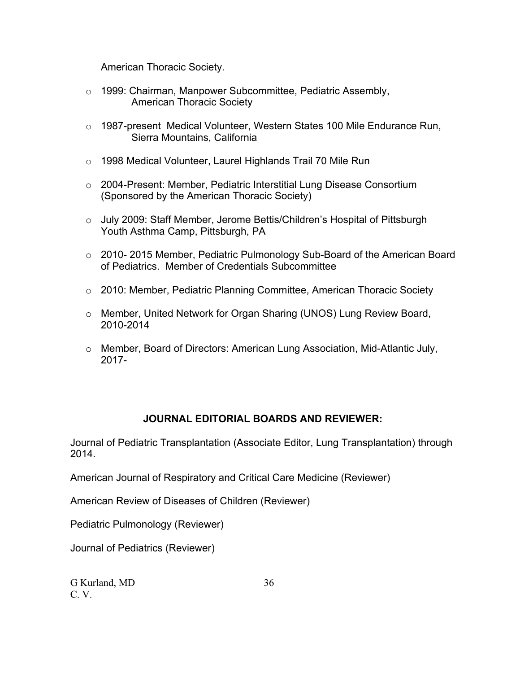American Thoracic Society.

- o 1999: Chairman, Manpower Subcommittee, Pediatric Assembly, American Thoracic Society
- o 1987-present Medical Volunteer, Western States 100 Mile Endurance Run, Sierra Mountains, California
- o 1998 Medical Volunteer, Laurel Highlands Trail 70 Mile Run
- o 2004-Present: Member, Pediatric Interstitial Lung Disease Consortium (Sponsored by the American Thoracic Society)
- o July 2009: Staff Member, Jerome Bettis/Children's Hospital of Pittsburgh Youth Asthma Camp, Pittsburgh, PA
- o 2010- 2015 Member, Pediatric Pulmonology Sub-Board of the American Board of Pediatrics. Member of Credentials Subcommittee
- o 2010: Member, Pediatric Planning Committee, American Thoracic Society
- o Member, United Network for Organ Sharing (UNOS) Lung Review Board, 2010-2014
- o Member, Board of Directors: American Lung Association, Mid-Atlantic July, 2017-

### **JOURNAL EDITORIAL BOARDS AND REVIEWER:**

Journal of Pediatric Transplantation (Associate Editor, Lung Transplantation) through 2014.

American Journal of Respiratory and Critical Care Medicine (Reviewer)

American Review of Diseases of Children (Reviewer)

Pediatric Pulmonology (Reviewer)

Journal of Pediatrics (Reviewer)

G Kurland, MD 36 C. V.